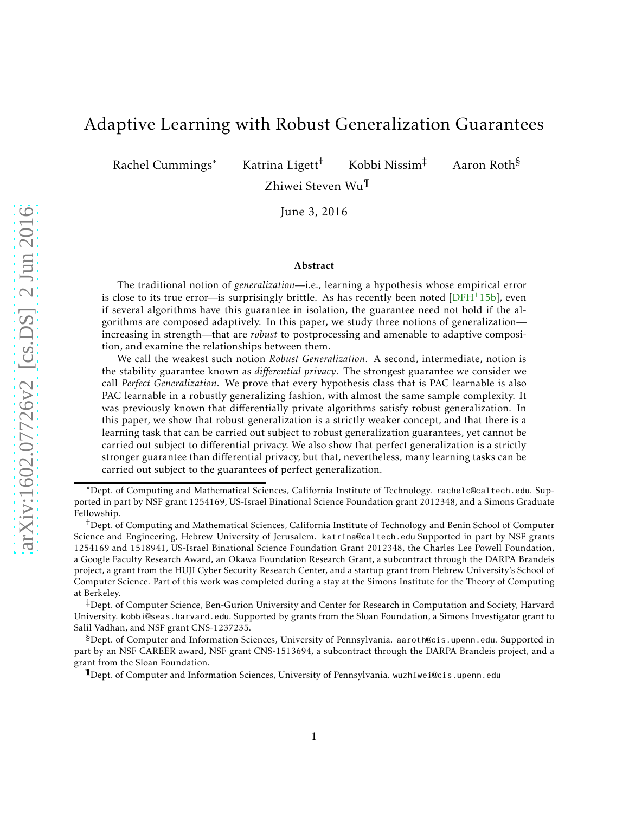# Adaptive Learning with Robust Generalization Guarantees

Rachel Cummings∗ Katrina Ligett† Kobbi Nissim‡ Aaron Roth§

Zhiwei Steven Wu¶

June 3, 2016

#### Abstract

The traditional notion of *generalization*—i.e., learning a hypothesis whose empirical error is close to its true error—is surprisingly brittle. As has recently been noted  $[DFH^+15b]$ , even if several algorithms have this guarantee in isolation, the guarantee need not hold if the algorithms are composed adaptively. In this paper, we study three notions of generalization increasing in strength—that are *robust* to postprocessing and amenable to adaptive composition, and examine the relationships between them.

We call the weakest such notion *Robust Generalization*. A second, intermediate, notion is the stability guarantee known as *differential privacy*. The strongest guarantee we consider we call *Perfect Generalization*. We prove that every hypothesis class that is PAC learnable is also PAC learnable in a robustly generalizing fashion, with almost the same sample complexity. It was previously known that differentially private algorithms satisfy robust generalization. In this paper, we show that robust generalization is a strictly weaker concept, and that there is a learning task that can be carried out subject to robust generalization guarantees, yet cannot be carried out subject to differential privacy. We also show that perfect generalization is a strictly stronger guarantee than differential privacy, but that, nevertheless, many learning tasks can be carried out subject to the guarantees of perfect generalization.

‡Dept. of Computer Science, Ben-Gurion University and Center for Research in Computation and Society, Harvard University. kobbi@seas.harvard.edu. Supported by grants from the Sloan Foundation, a Simons Investigator grant to Salil Vadhan, and NSF grant CNS-1237235.

§Dept. of Computer and Information Sciences, University of Pennsylvania. aaroth@cis.upenn.edu. Supported in part by an NSF CAREER award, NSF grant CNS-1513694, a subcontract through the DARPA Brandeis project, and a grant from the Sloan Foundation.

¶Dept. of Computer and Information Sciences, University of Pennsylvania. wuzhiwei@cis.upenn.edu

<sup>∗</sup>Dept. of Computing and Mathematical Sciences, California Institute of Technology. rachelc@caltech.edu. Supported in part by NSF grant 1254169, US-Israel Binational Science Foundation grant 2012348, and a Simons Graduate Fellowship.

<sup>†</sup>Dept. of Computing and Mathematical Sciences, California Institute of Technology and Benin School of Computer Science and Engineering, Hebrew University of Jerusalem. katrina@caltech.edu Supported in part by NSF grants 1254169 and 1518941, US-Israel Binational Science Foundation Grant 2012348, the Charles Lee Powell Foundation, a Google Faculty Research Award, an Okawa Foundation Research Grant, a subcontract through the DARPA Brandeis project, a grant from the HUJI Cyber Security Research Center, and a startup grant from Hebrew University's School of Computer Science. Part of this work was completed during a stay at the Simons Institute for the Theory of Computing at Berkeley.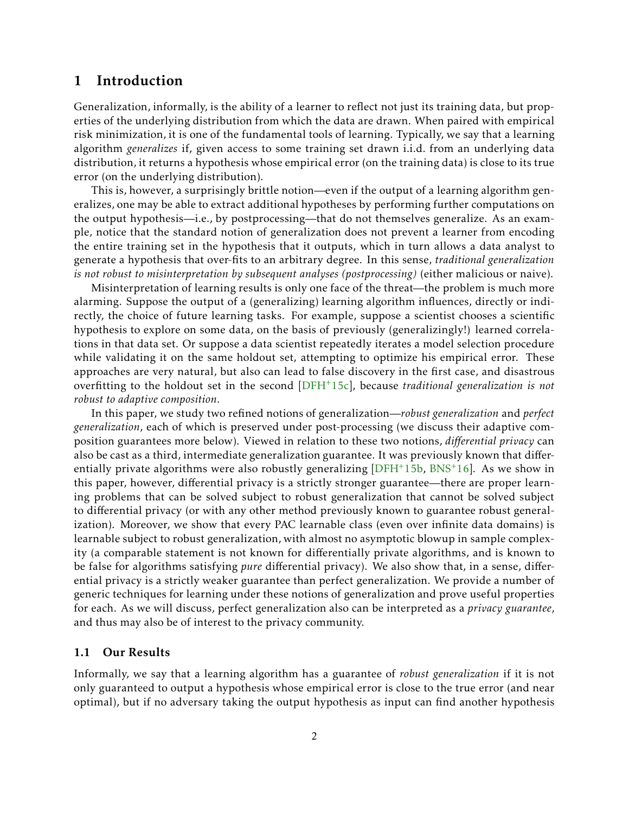### 1 Introduction

Generalization, informally, is the ability of a learner to reflect not just its training data, but properties of the underlying distribution from which the data are drawn. When paired with empirical risk minimization, it is one of the fundamental tools of learning. Typically, we say that a learning algorithm *generalizes* if, given access to some training set drawn i.i.d. from an underlying data distribution, it returns a hypothesis whose empirical error (on the training data) is close to its true error (on the underlying distribution).

This is, however, a surprisingly brittle notion—even if the output of a learning algorithm generalizes, one may be able to extract additional hypotheses by performing further computations on the output hypothesis—i.e., by postprocessing—that do not themselves generalize. As an example, notice that the standard notion of generalization does not prevent a learner from encoding the entire training set in the hypothesis that it outputs, which in turn allows a data analyst to generate a hypothesis that over-fits to an arbitrary degree. In this sense, *traditional generalization is not robust to misinterpretation by subsequent analyses (postprocessing)* (either malicious or naive).

Misinterpretation of learning results is only one face of the threat—the problem is much more alarming. Suppose the output of a (generalizing) learning algorithm influences, directly or indirectly, the choice of future learning tasks. For example, suppose a scientist chooses a scientific hypothesis to explore on some data, on the basis of previously (generalizingly!) learned correlations in that data set. Or suppose a data scientist repeatedly iterates a model selection procedure while validating it on the same holdout set, attempting to optimize his empirical error. These approaches are very natural, but also can lead to false discovery in the first case, and disastrous overfitting to the holdout set in the second [\[DFH](#page-24-1)+15c], because *traditional generalization is not robust to adaptive composition*.

In this paper, we study two refined notions of generalization—*robust generalization* and *perfect generalization*, each of which is preserved under post-processing (we discuss their adaptive composition guarantees more below). Viewed in relation to these two notions, *differential privacy* can also be cast as a third, intermediate generalization guarantee. It was previously known that differentially private algorithms were also robustly generalizing  $[DFH^+15b, BNS^+16]$  $[DFH^+15b, BNS^+16]$  $[DFH^+15b, BNS^+16]$ . As we show in this paper, however, differential privacy is a strictly stronger guarantee—there are proper learning problems that can be solved subject to robust generalization that cannot be solved subject to differential privacy (or with any other method previously known to guarantee robust generalization). Moreover, we show that every PAC learnable class (even over infinite data domains) is learnable subject to robust generalization, with almost no asymptotic blowup in sample complexity (a comparable statement is not known for differentially private algorithms, and is known to be false for algorithms satisfying *pure* differential privacy). We also show that, in a sense, differential privacy is a strictly weaker guarantee than perfect generalization. We provide a number of generic techniques for learning under these notions of generalization and prove useful properties for each. As we will discuss, perfect generalization also can be interpreted as a *privacy guarantee*, and thus may also be of interest to the privacy community.

#### 1.1 Our Results

Informally, we say that a learning algorithm has a guarantee of *robust generalization* if it is not only guaranteed to output a hypothesis whose empirical error is close to the true error (and near optimal), but if no adversary taking the output hypothesis as input can find another hypothesis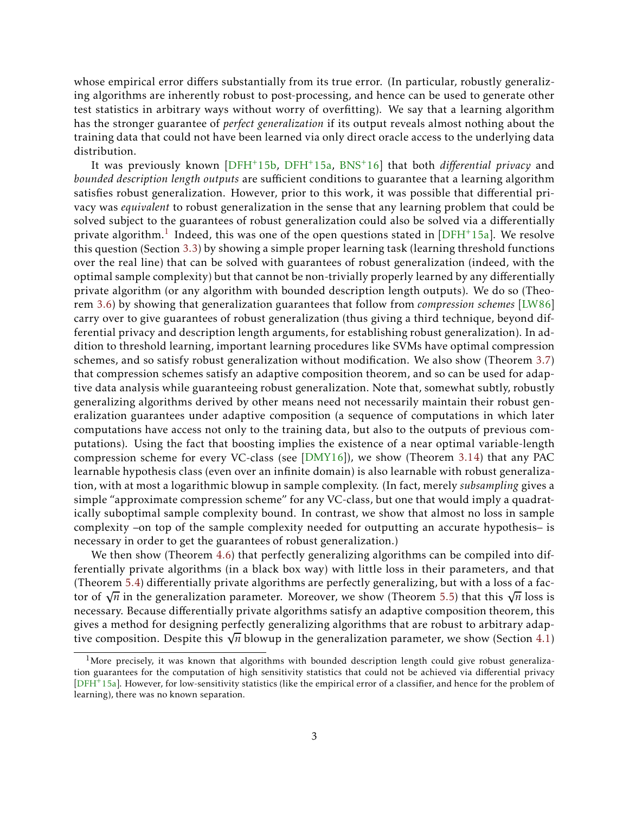whose empirical error differs substantially from its true error. (In particular, robustly generalizing algorithms are inherently robust to post-processing, and hence can be used to generate other test statistics in arbitrary ways without worry of overfitting). We say that a learning algorithm has the stronger guarantee of *perfect generalization* if its output reveals almost nothing about the training data that could not have been learned via only direct oracle access to the underlying data distribution.

It was previously known [\[DFH](#page-24-0)+15b, [DFH](#page-24-2)+15a, [BNS](#page-23-0)+16] that both *differential privacy* and *bounded description length outputs* are sufficient conditions to guarantee that a learning algorithm satisfies robust generalization. However, prior to this work, it was possible that differential privacy was *equivalent* to robust generalization in the sense that any learning problem that could be solved subject to the guarantees of robust generalization could also be solved via a differentially private algorithm. $^{\rm 1}$  $^{\rm 1}$  $^{\rm 1}$  Indeed, this was one of the open questions stated in [\[DFH](#page-24-2)+15a]. We resolve this question (Section [3.3\)](#page-11-0) by showing a simple proper learning task (learning threshold functions over the real line) that can be solved with guarantees of robust generalization (indeed, with the optimal sample complexity) but that cannot be non-trivially properly learned by any differentially private algorithm (or any algorithm with bounded description length outputs). We do so (Theorem [3.6\)](#page-9-0) by showing that generalization guarantees that follow from *compression schemes* [\[LW86\]](#page-24-3) carry over to give guarantees of robust generalization (thus giving a third technique, beyond differential privacy and description length arguments, for establishing robust generalization). In addition to threshold learning, important learning procedures like SVMs have optimal compression schemes, and so satisfy robust generalization without modification. We also show (Theorem [3.7\)](#page-10-0) that compression schemes satisfy an adaptive composition theorem, and so can be used for adaptive data analysis while guaranteeing robust generalization. Note that, somewhat subtly, robustly generalizing algorithms derived by other means need not necessarily maintain their robust generalization guarantees under adaptive composition (a sequence of computations in which later computations have access not only to the training data, but also to the outputs of previous computations). Using the fact that boosting implies the existence of a near optimal variable-length compression scheme for every VC-class (see [\[DMY16](#page-24-4)]), we show (Theorem [3.14\)](#page-12-0) that any PAC learnable hypothesis class (even over an infinite domain) is also learnable with robust generalization, with at most a logarithmic blowup in sample complexity. (In fact, merely *subsampling* gives a simple "approximate compression scheme" for any VC-class, but one that would imply a quadratically suboptimal sample complexity bound. In contrast, we show that almost no loss in sample complexity –on top of the sample complexity needed for outputting an accurate hypothesis– is necessary in order to get the guarantees of robust generalization.)

We then show (Theorem [4.6\)](#page-16-0) that perfectly generalizing algorithms can be compiled into differentially private algorithms (in a black box way) with little loss in their parameters, and that (Theorem [5.4\)](#page-20-0) differentially private algorithms are perfectly generalizing, but with a loss of a factor of  $\sqrt{n}$  in the generalization parameter. Moreover, we show (Theorem [5.5\)](#page-22-0) that this  $\sqrt{n}$  loss is necessary. Because differentially private algorithms satisfy an adaptive composition theorem, this gives a method for designing perfectly generalizing algorithms that are robust to arbitrary adaptive composition. Despite this  $\sqrt{n}$  blowup in the generalization parameter, we show (Section [4.1\)](#page-13-0)

<span id="page-2-0"></span><sup>&</sup>lt;sup>1</sup>More precisely, it was known that algorithms with bounded description length could give robust generalization guarantees for the computation of high sensitivity statistics that could not be achieved via differential privacy [\[DFH](#page-24-2)+15a]. However, for low-sensitivity statistics (like the empirical error of a classifier, and hence for the problem of learning), there was no known separation.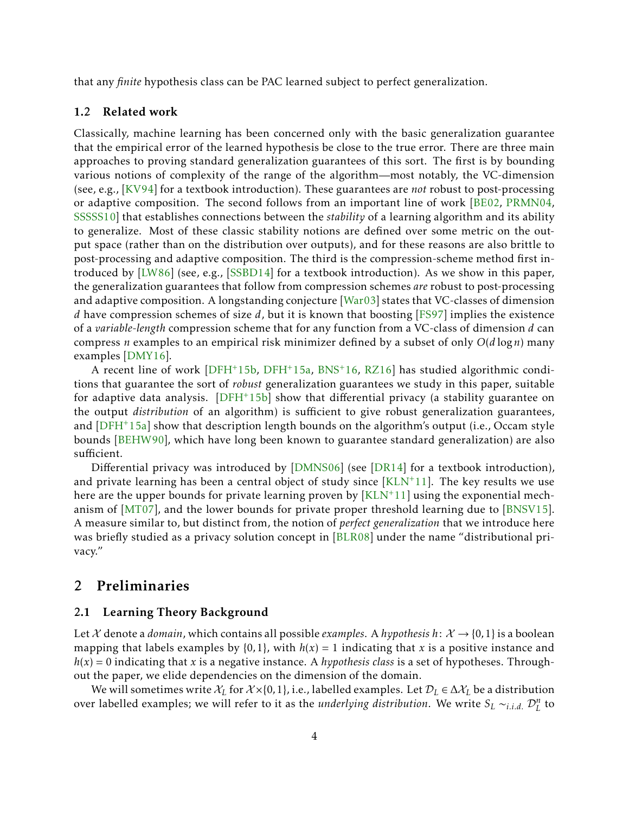that any *finite* hypothesis class can be PAC learned subject to perfect generalization.

#### 1.2 Related work

Classically, machine learning has been concerned only with the basic generalization guarantee that the empirical error of the learned hypothesis be close to the true error. There are three main approaches to proving standard generalization guarantees of this sort. The first is by bounding various notions of complexity of the range of the algorithm—most notably, the VC-dimension (see, e.g., [\[KV94\]](#page-24-5) for a textbook introduction). These guarantees are *not* robust to post-processing or adaptive composition. The second follows from an important line of work [\[BE02](#page-23-1), [PRMN04](#page-25-0), [SSSSS10\]](#page-25-1) that establishes connections between the *stability* of a learning algorithm and its ability to generalize. Most of these classic stability notions are defined over some metric on the output space (rather than on the distribution over outputs), and for these reasons are also brittle to post-processing and adaptive composition. The third is the compression-scheme method first introduced by [\[LW86\]](#page-24-3) (see, e.g., [\[SSBD14\]](#page-25-2) for a textbook introduction). As we show in this paper, the generalization guarantees that follow from compression schemes *are* robust to post-processing and adaptive composition. A longstanding conjecture [\[War03](#page-25-3)] states that VC-classes of dimension *d* have compression schemes of size *d*, but it is known that boosting [\[FS97\]](#page-24-6) implies the existence of a *variable-length* compression scheme that for any function from a VC-class of dimension *d* can compress *n* examples to an empirical risk minimizer defined by a subset of only *O*(*d* log*n*) many examples [\[DMY16\]](#page-24-4).

A recent line of work [\[DFH](#page-24-0)+15b, [DFH](#page-24-2)+15a, [BNS](#page-23-0)+16, [RZ16](#page-25-4)] has studied algorithmic conditions that guarantee the sort of *robust* generalization guarantees we study in this paper, suitable for adaptive data analysis.  $[DFH^+15b]$  show that differential privacy (a stability guarantee on the output *distribution* of an algorithm) is sufficient to give robust generalization guarantees, and [\[DFH](#page-24-2)+15a] show that description length bounds on the algorithm's output (i.e., Occam style bounds [\[BEHW90\]](#page-23-2), which have long been known to guarantee standard generalization) are also sufficient.

Differential privacy was introduced by [\[DMNS06](#page-24-7)] (see [\[DR14](#page-24-8)] for a textbook introduction), and private learning has been a central object of study since  $[KLN^+11]$ . The key results we use here are the upper bounds for private learning proven by  $\left[KLN^+11\right]$  using the exponential mechanism of [\[MT07](#page-24-10)], and the lower bounds for private proper threshold learning due to [\[BNSV15\]](#page-24-11). A measure similar to, but distinct from, the notion of *perfect generalization* that we introduce here was briefly studied as a privacy solution concept in [\[BLR08](#page-23-3)] under the name "distributional privacy."

### <span id="page-3-0"></span>2 Preliminaries

#### 2.1 Learning Theory Background

Let X denote a *domain*, which contains all possible *examples*. A *hypothesis*  $h: X \rightarrow \{0, 1\}$  is a boolean mapping that labels examples by  $\{0,1\}$ , with  $h(x) = 1$  indicating that *x* is a positive instance and  $h(x) = 0$  indicating that *x* is a negative instance. A *hypothesis class* is a set of hypotheses. Throughout the paper, we elide dependencies on the dimension of the domain.

We will sometimes write  $\mathcal{X}_L$  for  $\mathcal{X} \times \{0,1\}$ , i.e., labelled examples. Let  $\mathcal{D}_L \in \Delta \mathcal{X}_L$  be a distribution over labelled examples; we will refer to it as the *underlying distribution*. We write  $S_L \sim_{i.i.d.} \mathcal{D}_L^n$  to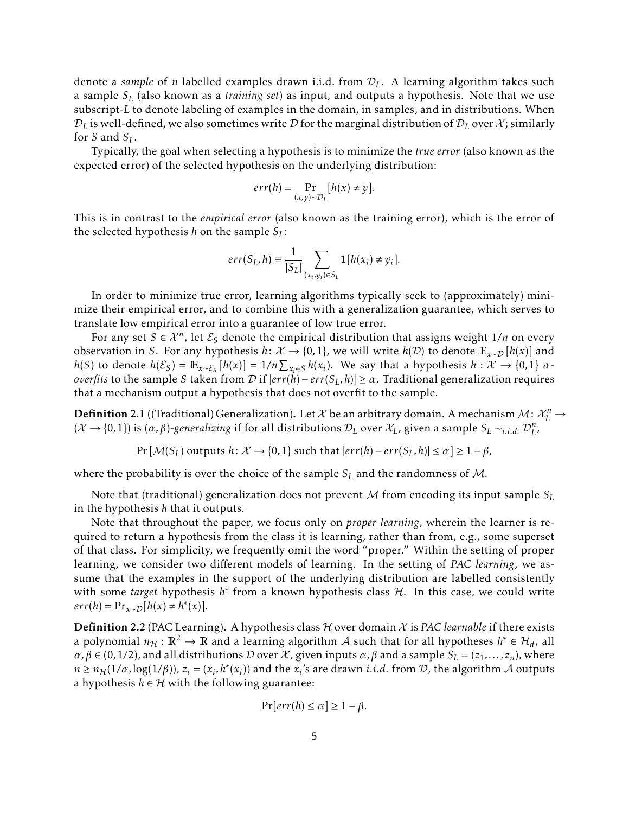denote a *sample* of *n* labelled examples drawn i.i.d. from D*L*. A learning algorithm takes such a sample *S<sup>L</sup>* (also known as a *training set*) as input, and outputs a hypothesis. Note that we use subscript-*L* to denote labeling of examples in the domain, in samples, and in distributions. When  $\mathcal{D}_L$  is well-defined, we also sometimes write  $\mathcal D$  for the marginal distribution of  $\mathcal D_L$  over  $\mathcal X$ ; similarly for *S* and  $S_L$ .

Typically, the goal when selecting a hypothesis is to minimize the *true error* (also known as the expected error) of the selected hypothesis on the underlying distribution:

$$
err(h) = \Pr_{(x,y)\sim\mathcal{D}_L}[h(x) \neq y].
$$

This is in contrast to the *empirical error* (also known as the training error), which is the error of the selected hypothesis *h* on the sample  $S_L$ :

$$
err(S_L, h) \equiv \frac{1}{|S_L|} \sum_{(x_i, y_i) \in S_L} \mathbf{1}[h(x_i) \neq y_i].
$$

In order to minimize true error, learning algorithms typically seek to (approximately) minimize their empirical error, and to combine this with a generalization guarantee, which serves to translate low empirical error into a guarantee of low true error.

For any set  $S \in \mathcal{X}^n$ , let  $\mathcal{E}_S$  denote the empirical distribution that assigns weight  $1/n$  on every observation in *S*. For any hypothesis *h*:  $\mathcal{X} \to \{0,1\}$ , we will write  $h(\mathcal{D})$  to denote  $\mathbb{E}_{x \sim \mathcal{D}}[h(x)]$  and  $h(S)$  to denote  $h(\mathcal{E}_S) = \mathbb{E}_{x \sim \mathcal{E}_S} [h(x)] = 1/n \sum_{x_i \in S} h(x_i)$ . We say that a hypothesis  $h : \mathcal{X} \to \{0, 1\}$  *αoverfits* to the sample *S* taken from *D* if  $|err(h) − err(S_L, h)| ≥ α$ . Traditional generalization requires that a mechanism output a hypothesis that does not overfit to the sample.

<span id="page-4-0"></span>Definition 2.1 ((Traditional) Generalization). Let  $\mathcal X$  be an arbitrary domain. A mechanism  $\mathcal M\colon\mathcal X_L^n\to\mathcal X_L^n$  $(X \to \{0,1\})$  is  $(\alpha,\beta)$ -generalizing if for all distributions  $\mathcal{D}_L$  over  $\mathcal{X}_L$ , given a sample  $S_L \sim_{i.i.d.} \mathcal{D}_L^n$ ,

 $Pr[\mathcal{M}(S_L)$  outputs  $h: \mathcal{X} \to \{0,1\}$  such that  $|err(h) - err(S_L, h)| \leq \alpha \geq 1 - \beta$ ,

where the probability is over the choice of the sample *S<sup>L</sup>* and the randomness of M.

Note that (traditional) generalization does not prevent M from encoding its input sample *S<sup>L</sup>* in the hypothesis *h* that it outputs.

Note that throughout the paper, we focus only on *proper learning*, wherein the learner is required to return a hypothesis from the class it is learning, rather than from, e.g., some superset of that class. For simplicity, we frequently omit the word "proper." Within the setting of proper learning, we consider two different models of learning. In the setting of *PAC learning*, we assume that the examples in the support of the underlying distribution are labelled consistently with some *target* hypothesis *h*<sup>\*</sup> from a known hypothesis class H. In this case, we could write  $err(h) = Pr_{x \sim D}[h(x) \neq h^*(x)].$ 

<span id="page-4-1"></span>Definition 2.2 (PAC Learning). A hypothesis class  $H$  over domain  $X$  is *PAC learnable* if there exists a polynomial  $n_H : \mathbb{R}^2 \to \mathbb{R}$  and a learning algorithm A such that for all hypotheses  $h^* \in \mathcal{H}_d$ , all  $\alpha, \beta \in (0, 1/2)$ , and all distributions *D* over *X*, given inputs  $\alpha, \beta$  and a sample  $S_L = (z_1, \ldots, z_n)$ , where  $n \ge n_H(1/\alpha, \log(1/\beta))$ ,  $z_i = (x_i, h^*(x_i))$  and the  $x_i$ 's are drawn *i.i.d.* from D, the algorithm A outputs a hypothesis  $h \in H$  with the following guarantee:

$$
\Pr[err(h) \le \alpha] \ge 1 - \beta.
$$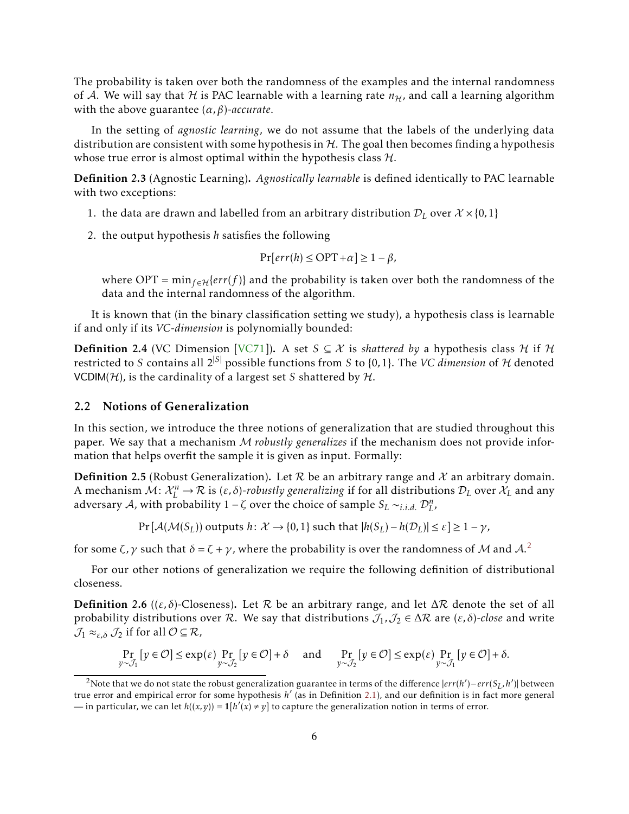The probability is taken over both the randomness of the examples and the internal randomness of A. We will say that H is PAC learnable with a learning rate  $n_{\mathcal{H}}$ , and call a learning algorithm with the above guarantee (*α,β*)*-accurate*.

In the setting of *agnostic learning*, we do not assume that the labels of the underlying data distribution are consistent with some hypothesis in  $H$ . The goal then becomes finding a hypothesis whose true error is almost optimal within the hypothesis class  $H$ .

Definition 2.3 (Agnostic Learning). *Agnostically learnable* is defined identically to PAC learnable with two exceptions:

- 1. the data are drawn and labelled from an arbitrary distribution  $\mathcal{D}_L$  over  $\mathcal{X} \times \{0,1\}$
- 2. the output hypothesis *h* satisfies the following

$$
\Pr[err(h) \le \text{OPT} + \alpha] \ge 1 - \beta,
$$

where OPT =  $min_{f \in H} \{err(f)\}$  and the probability is taken over both the randomness of the data and the internal randomness of the algorithm.

It is known that (in the binary classification setting we study), a hypothesis class is learnable if and only if its *VC-dimension* is polynomially bounded:

**Definition 2.4** (VC Dimension [\[VC71](#page-25-5)]). A set  $S \subseteq \mathcal{X}$  is *shattered by* a hypothesis class  $\mathcal{H}$  if  $\mathcal{H}$ restricted to *S* contains all  $2^{|S|}$  possible functions from *S* to {0,1}. The *VC dimension* of *H* denoted VCDIM( $H$ ), is the cardinality of a largest set *S* shattered by  $H$ .

#### 2.2 Notions of Generalization

In this section, we introduce the three notions of generalization that are studied throughout this paper. We say that a mechanism M *robustly generalizes* if the mechanism does not provide information that helps overfit the sample it is given as input. Formally:

**Definition 2.5** (Robust Generalization). Let R be an arbitrary range and X an arbitrary domain. A mechanism  $M: \mathcal{X}_L^n \to \mathcal{R}$  is  $(\varepsilon, \delta)$ -robustly generalizing if for all distributions  $\mathcal{D}_L$  over  $\mathcal{X}_L$  and any adversary A, with probability  $1 - \zeta$  over the choice of sample  $S_L \sim_{i.i.d.} D_{L'}^n$ ,

 $Pr[\mathcal{A}(\mathcal{M}(S_L))$  outputs  $h: \mathcal{X} \to \{0, 1\}$  such that  $|h(S_L) - h(\mathcal{D}_L)| \leq \varepsilon] \geq 1 - \gamma$ ,

for some *ζ*,  $\gamma$  such that  $\delta = \zeta + \gamma$ , where the probability is over the randomness of M and A.<sup>[2](#page-5-0)</sup>

For our other notions of generalization we require the following definition of distributional closeness.

Definition 2.6 (( $\varepsilon$ ,  $\delta$ )-Closeness). Let  $R$  be an arbitrary range, and let  $\Delta R$  denote the set of all probability distributions over R. We say that distributions  $J_1, J_2 \in \Delta \mathcal{R}$  are  $(\varepsilon, \delta)$ -close and write  $\mathcal{J}_1 \approx_{\varepsilon,\delta} \mathcal{J}_2$  if for all  $\mathcal{O} \subseteq \mathcal{R}$ ,

$$
\Pr_{y \sim \mathcal{J}_1} [y \in \mathcal{O}] \le \exp(\varepsilon) \Pr_{y \sim \mathcal{J}_2} [y \in \mathcal{O}] + \delta \quad \text{and} \quad \Pr_{y \sim \mathcal{J}_2} [y \in \mathcal{O}] \le \exp(\varepsilon) \Pr_{y \sim \mathcal{J}_1} [y \in \mathcal{O}] + \delta.
$$

<span id="page-5-0"></span><sup>&</sup>lt;sup>2</sup>Note that we do not state the robust generalization guarantee in terms of the difference  $|err(h') - err(S_L, h')|$  between true error and empirical error for some hypothesis *h* ′ (as in Definition [2.1\)](#page-4-0), and our definition is in fact more general — in particular, we can let  $h((x, y)) = \mathbf{1}[h'(x) \neq y]$  to capture the generalization notion in terms of error.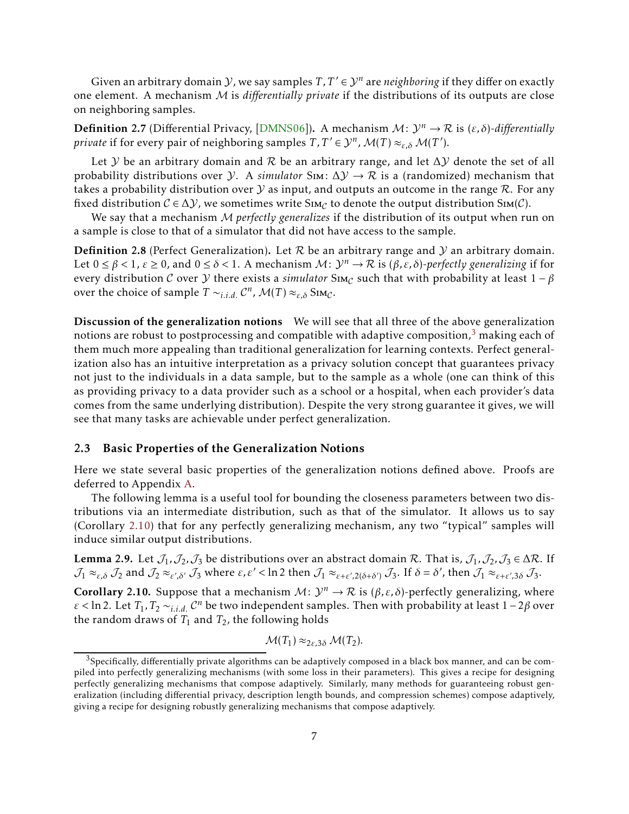Given an arbitrary domain *Y*, we say samples  $T, T' \in \mathcal{Y}^n$  are *neighboring* if they differ on exactly one element. A mechanism M is *differentially private* if the distributions of its outputs are close on neighboring samples.

**Definition 2.7** (Differential Privacy, [\[DMNS06\]](#page-24-7)). A mechanism  $M: \mathcal{Y}^n \to \mathcal{R}$  is  $(\varepsilon, \delta)$ -differentially *private* if for every pair of neighboring samples  $T, T' \in \mathcal{Y}^n$ ,  $\mathcal{M}(T) \approx_{\varepsilon, \delta} \mathcal{M}(T')$ .

Let Y be an arbitrary domain and R be an arbitrary range, and let  $\Delta$ Y denote the set of all probability distributions over *Y*. A *simulator* Sim:  $\Delta Y \rightarrow \mathcal{R}$  is a (randomized) mechanism that takes a probability distribution over  $Y$  as input, and outputs an outcome in the range  $R$ . For any fixed distribution  $C \in \Delta Y$ , we sometimes write  $\text{Sm}_C$  to denote the output distribution  $\text{Sm}(C)$ .

We say that a mechanism M *perfectly generalizes* if the distribution of its output when run on a sample is close to that of a simulator that did not have access to the sample.

**Definition 2.8** (Perfect Generalization). Let  $R$  be an arbitrary range and  $Y$  an arbitrary domain. Let  $0 \le \beta < 1$ ,  $\varepsilon \ge 0$ , and  $0 \le \delta < 1$ . A mechanism  $\mathcal{M}$ :  $\mathcal{Y}^n \to \mathcal{R}$  is  $(\beta, \varepsilon, \delta)$ -perfectly generalizing if for every distribution C over  $\mathcal Y$  there exists a *simulator* Sim<sub>C</sub> such that with probability at least  $1 - \beta$ over the choice of sample  $T \sim_{i.i.d.} C^n$ ,  $\mathcal{M}(T) \approx_{\varepsilon,\delta} S_{IMC}$ .

Discussion of the generalization notions We will see that all three of the above generalization notions are robust to postprocessing and compatible with adaptive composition, $3$  making each of them much more appealing than traditional generalization for learning contexts. Perfect generalization also has an intuitive interpretation as a privacy solution concept that guarantees privacy not just to the individuals in a data sample, but to the sample as a whole (one can think of this as providing privacy to a data provider such as a school or a hospital, when each provider's data comes from the same underlying distribution). Despite the very strong guarantee it gives, we will see that many tasks are achievable under perfect generalization.

#### 2.3 Basic Properties of the Generalization Notions

Here we state several basic properties of the generalization notions defined above. Proofs are deferred to Appendix [A.](#page-25-6)

The following lemma is a useful tool for bounding the closeness parameters between two distributions via an intermediate distribution, such as that of the simulator. It allows us to say (Corollary [2.10\)](#page-6-1) that for any perfectly generalizing mechanism, any two "typical" samples will induce similar output distributions.

<span id="page-6-2"></span>**Lemma 2.9.** Let  $\mathcal{J}_1$ , $\mathcal{J}_2$ , $\mathcal{J}_3$  be distributions over an abstract domain R. That is,  $\mathcal{J}_1$ ,  $\mathcal{J}_2$ ,  $\mathcal{J}_3$   $\in \Delta \mathcal{R}$ . If  $\mathcal{J}_1 \approx_{\varepsilon,\delta} \mathcal{J}_2$  and  $\mathcal{J}_2 \approx_{\varepsilon',\delta'} \mathcal{J}_3$  where  $\varepsilon,\varepsilon' < \ln 2$  then  $\mathcal{J}_1 \approx_{\varepsilon+\varepsilon',2(\delta+\delta')} \mathcal{J}_3$ . If  $\delta = \delta'$ , then  $\mathcal{J}_1 \approx_{\varepsilon+\varepsilon',3\delta} \mathcal{J}_3$ .

<span id="page-6-1"></span>**Corollary 2.10.** Suppose that a mechanism  $M: \mathcal{Y}^n \to \mathcal{R}$  is  $(\beta, \varepsilon, \delta)$ -perfectly generalizing, where  $\varepsilon$  < ln 2. Let  $T_1, T_2 \sim_{i.i.d.} C^n$  be two independent samples. Then with probability at least 1 – 2*β* over the random draws of  $T_1$  and  $T_2$ , the following holds

$$
\mathcal{M}(T_1) \approx_{2\varepsilon,3\delta} \mathcal{M}(T_2).
$$

<span id="page-6-0"></span> $3$ Specifically, differentially private algorithms can be adaptively composed in a black box manner, and can be compiled into perfectly generalizing mechanisms (with some loss in their parameters). This gives a recipe for designing perfectly generalizing mechanisms that compose adaptively. Similarly, many methods for guaranteeing robust generalization (including differential privacy, description length bounds, and compression schemes) compose adaptively, giving a recipe for designing robustly generalizing mechanisms that compose adaptively.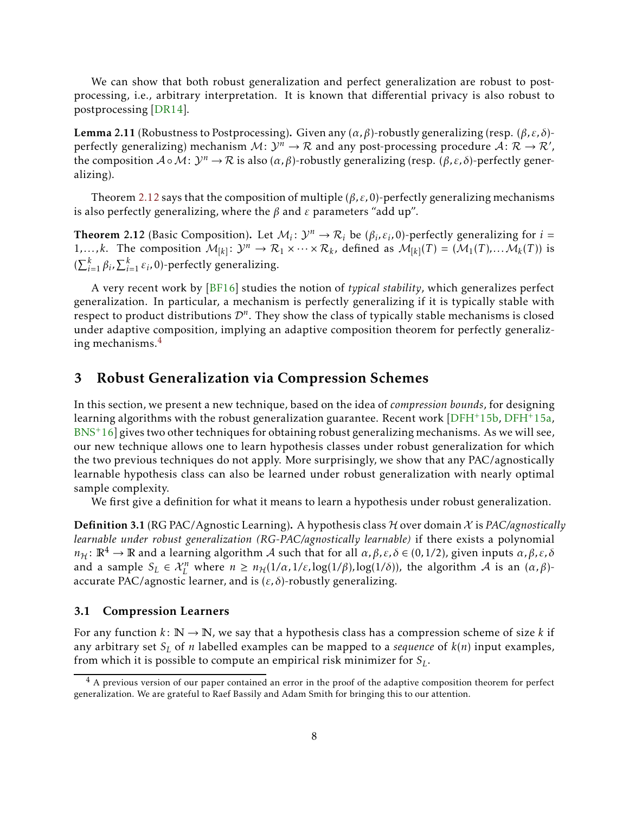We can show that both robust generalization and perfect generalization are robust to postprocessing, i.e., arbitrary interpretation. It is known that differential privacy is also robust to postprocessing [\[DR14](#page-24-8)].

<span id="page-7-2"></span>Lemma 2.11 (Robustness to Postprocessing). Given any (*α,β*)-robustly generalizing (resp. (*β,ε, δ*) perfectly generalizing) mechanism  $M: \mathcal{Y}^n \to \mathcal{R}$  and any post-processing procedure  $\mathcal{A}: \mathcal{R} \to \mathcal{R}'$ , the composition  $A \circ M: \mathcal{Y}^n \to \mathcal{R}$  is also  $(\alpha, \beta)$ -robustly generalizing (resp.  $(\beta, \varepsilon, \delta)$ -perfectly generalizing).

Theorem [2.12](#page-7-0) says that the composition of multiple (*β,ε,*0)-perfectly generalizing mechanisms is also perfectly generalizing, where the *β* and *ε* parameters "add up".

<span id="page-7-0"></span>**Theorem 2.12** (Basic Composition). Let  $M_i: \mathcal{Y}^n \to \mathcal{R}_i$  be  $(\beta_i, \varepsilon_i, 0)$ -perfectly generalizing for  $i =$ 1,...,k. The composition  $M_{[k]}: \mathcal{Y}^n \to \mathcal{R}_1 \times \cdots \times \mathcal{R}_k$ , defined as  $M_{[k]}(T) = (M_1(T), \dots M_k(T))$  is  $(\sum_{i=1}^{k} \beta_i, \sum_{i=1}^{k} \varepsilon_i, 0)$ -perfectly generalizing.

A very recent work by [\[BF16\]](#page-23-4) studies the notion of *typical stability*, which generalizes perfect generalization. In particular, a mechanism is perfectly generalizing if it is typically stable with respect to product distributions  $\mathcal{D}^n$ . They show the class of typically stable mechanisms is closed under adaptive composition, implying an adaptive composition theorem for perfectly generalizing mechanisms.[4](#page-7-1)

### 3 Robust Generalization via Compression Schemes

In this section, we present a new technique, based on the idea of *compression bounds*, for designing learning algorithms with the robust generalization guarantee. Recent work [\[DFH](#page-24-0)+15b, [DFH](#page-24-2)+15a,  $BNS<sup>+</sup>16$  $BNS<sup>+</sup>16$ ] gives two other techniques for obtaining robust generalizing mechanisms. As we will see, our new technique allows one to learn hypothesis classes under robust generalization for which the two previous techniques do not apply. More surprisingly, we show that any PAC/agnostically learnable hypothesis class can also be learned under robust generalization with nearly optimal sample complexity.

We first give a definition for what it means to learn a hypothesis under robust generalization.

Definition 3.1 (RG PAC/Agnostic Learning). A hypothesis class H over domain X is *PAC/agnostically learnable under robust generalization (RG-PAC/agnostically learnable)* if there exists a polynomial *n*<sub>H</sub>:  $\mathbb{R}^4$  →  $\mathbb{R}$  and a learning algorithm *A* such that for all *α, β, ε, δ* ∈ (0*,* 1/2), given inputs *α, β, ε, δ* and a sample  $S_L \in \mathcal{X}_L^n$  where  $n \ge n_H(1/\alpha, 1/\varepsilon, \log(1/\beta), \log(1/\delta))$ , the algorithm A is an  $(\alpha, \beta)$ accurate PAC/agnostic learner, and is  $(\varepsilon, \delta)$ -robustly generalizing.

#### 3.1 Compression Learners

For any function  $k: \mathbb{N} \to \mathbb{N}$ , we say that a hypothesis class has a compression scheme of size k if any arbitrary set *S<sup>L</sup>* of *n* labelled examples can be mapped to a *sequence* of *k*(*n*) input examples, from which it is possible to compute an empirical risk minimizer for *SL*.

<span id="page-7-1"></span> $<sup>4</sup>$  A previous version of our paper contained an error in the proof of the adaptive composition theorem for perfect</sup> generalization. We are grateful to Raef Bassily and Adam Smith for bringing this to our attention.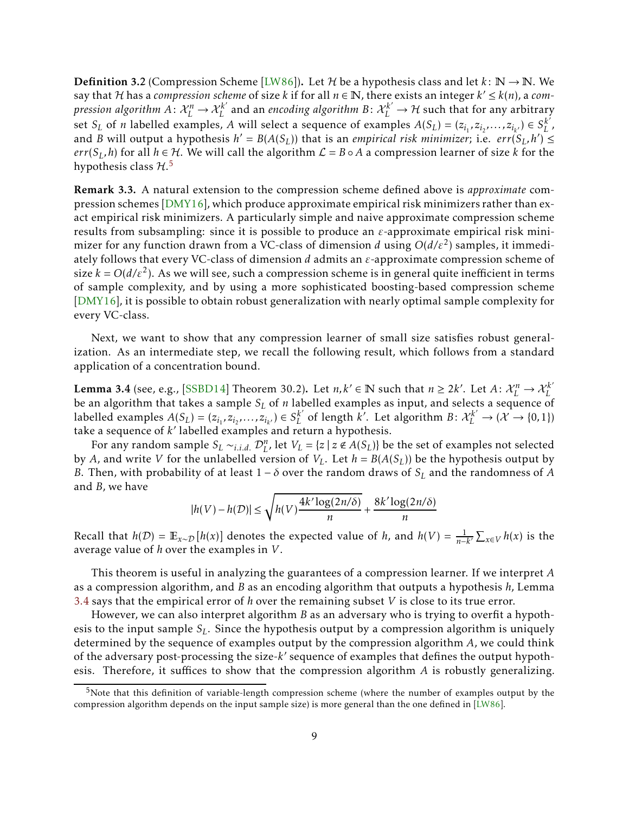**Definition 3.2** (Compression Scheme [\[LW86\]](#page-24-3)). Let H be a hypothesis class and let  $k: \mathbb{N} \to \mathbb{N}$ . We say that H has a *compression scheme* of size *k* if for all  $n \in \mathbb{N}$ , there exists an integer  $k' \leq k(n)$ , a *compression algorithm*  $A\colon \mathcal{X}_L^n\to \mathcal{X}_L^{k'}$  *and an <i>encoding algorithm*  $B\colon \mathcal{X}_L^{k'}\to \mathcal{H}$  *such that for any arbitrary* set  $S_L$  of *n* labelled examples, *A* will select a sequence of examples  $A(S_L) = (z_{i_1}, z_{i_2},..., z_{i_{k'}}) \in S_L^{k'}$ , and *B* will output a hypothesis  $h' = B(A(S_L))$  that is an *empirical risk minimizer*; i.e.  $err(S_L, h') \leq$ *err*( $S_L$ , *h*) for all *h* ∈ H. We will call the algorithm  $\mathcal{L} = B \circ A$  a compression learner of size *k* for the hypothesis class  $\mathcal{H}.^5$  $\mathcal{H}.^5$ 

Remark 3.3. A natural extension to the compression scheme defined above is *approximate* compression schemes [\[DMY16](#page-24-4)], which produce approximate empirical risk minimizers rather than exact empirical risk minimizers. A particularly simple and naive approximate compression scheme results from subsampling: since it is possible to produce an *ε*-approximate empirical risk minimizer for any function drawn from a VC-class of dimension *d* using *O*(*d/ε*<sup>2</sup> ) samples, it immediately follows that every VC-class of dimension *d* admits an *ε*-approximate compression scheme of size  $k = O(d/\varepsilon^2)$ . As we will see, such a compression scheme is in general quite inefficient in terms of sample complexity, and by using a more sophisticated boosting-based compression scheme [\[DMY16\]](#page-24-4), it is possible to obtain robust generalization with nearly optimal sample complexity for every VC-class.

Next, we want to show that any compression learner of small size satisfies robust generalization. As an intermediate step, we recall the following result, which follows from a standard application of a concentration bound.

<span id="page-8-1"></span>**Lemma 3.4** (see, e.g., [\[SSBD14\]](#page-25-2) Theorem 30.2). Let  $n, k' \in \mathbb{N}$  such that  $n \geq 2k'$ . Let  $A: \mathcal{X}_L^n \to \mathcal{X}_L^{k'}$ be an algorithm that takes a sample *S<sup>L</sup>* of *n* labelled examples as input, and selects a sequence of labelled examples  $A(S_L) = (z_{i_1}, z_{i_2},..., z_{i_{k'}}) \in S_L^{k'}$  of length k'. Let algorithm  $B: \mathcal{X}_L^{k'} \to (\mathcal{X} \to \{0,1\})$ take a sequence of *k* ′ labelled examples and return a hypothesis.

For any random sample  $S_L \sim_{i.i.d.} \mathcal{D}_L^n$ , let  $V_L = \{z \mid z \notin A(S_L)\}$  be the set of examples not selected by *A*, and write *V* for the unlabelled version of  $V_L$ . Let  $h = B(A(S_L))$  be the hypothesis output by *B*. Then, with probability of at least 1 − *δ* over the random draws of *S<sup>L</sup>* and the randomness of *A* and *B*, we have

$$
|h(V) - h(\mathcal{D})| \le \sqrt{h(V)\frac{4k'\log(2n/\delta)}{n}} + \frac{8k'\log(2n/\delta)}{n}
$$

Recall that  $h(D) = \mathbb{E}_{x \sim D}[h(x)]$  denotes the expected value of *h*, and  $h(V) = \frac{1}{n-k'}\sum_{x \in V} h(x)$  is the average value of *h* over the examples in *V*.

This theorem is useful in analyzing the guarantees of a compression learner. If we interpret *A* as a compression algorithm, and *B* as an encoding algorithm that outputs a hypothesis *h*, Lemma [3.4](#page-8-1) says that the empirical error of *h* over the remaining subset *V* is close to its true error.

However, we can also interpret algorithm *B* as an adversary who is trying to overfit a hypothesis to the input sample *SL*. Since the hypothesis output by a compression algorithm is uniquely determined by the sequence of examples output by the compression algorithm *A*, we could think of the adversary post-processing the size-*k* ′ sequence of examples that defines the output hypothesis. Therefore, it suffices to show that the compression algorithm *A* is robustly generalizing.

<span id="page-8-0"></span><sup>&</sup>lt;sup>5</sup>Note that this definition of variable-length compression scheme (where the number of examples output by the compression algorithm depends on the input sample size) is more general than the one defined in [\[LW86](#page-24-3)].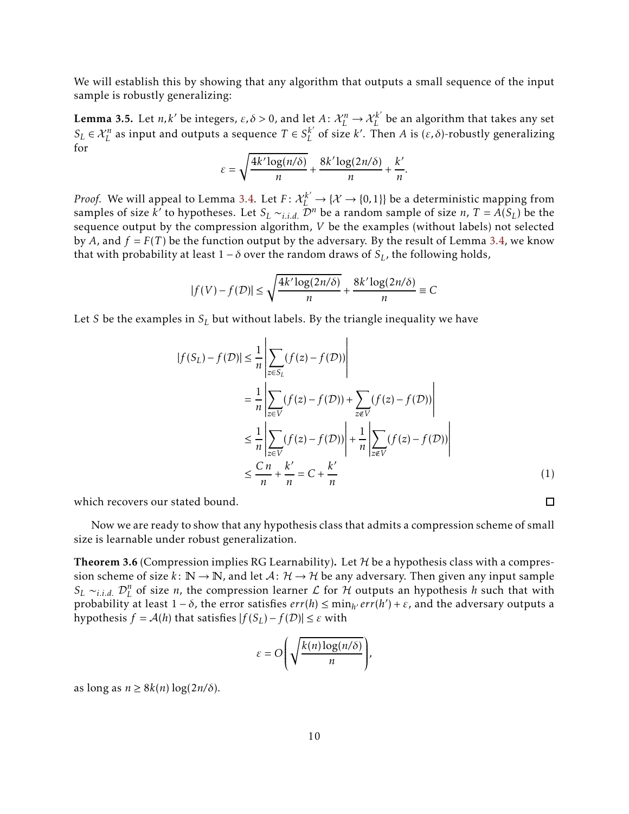We will establish this by showing that any algorithm that outputs a small sequence of the input sample is robustly generalizing:

<span id="page-9-1"></span>**Lemma 3.5.** Let *n*, *k'* be integers,  $\varepsilon$ ,  $\delta$  > 0, and let *A*:  $\mathcal{X}_L^n \to \mathcal{X}_L^{k'}$  be an algorithm that takes any set  $S_L \in \mathcal{X}_L^n$  as input and outputs a sequence  $T \in S_L^{k'}$  of size *k*'. Then *A* is  $(\varepsilon, \delta)$ -robustly generalizing for

$$
\varepsilon = \sqrt{\frac{4k' \log(n/\delta)}{n}} + \frac{8k' \log(2n/\delta)}{n} + \frac{k'}{n}.
$$

*Proof.* We will appeal to Lemma [3.4](#page-8-1). Let  $F: \mathcal{X}_L^{k'} \to \{X \to \{0,1\}\}$  be a deterministic mapping from samples of size *k'* to hypotheses. Let  $S_L \sim_{i.i.d.} \mathcal{D}^n$  be a random sample of size *n*,  $T = A(S_L)$  be the sequence output by the compression algorithm, *V* be the examples (without labels) not selected by *A*, and  $f = F(T)$  be the function output by the adversary. By the result of Lemma [3.4,](#page-8-1) we know that with probability at least  $1 − δ$  over the random draws of  $S_L$ , the following holds,

$$
|f(V) - f(D)| \le \sqrt{\frac{4k' \log(2n/\delta)}{n}} + \frac{8k' \log(2n/\delta)}{n} \equiv C
$$

Let *S* be the examples in *S<sup>L</sup>* but without labels. By the triangle inequality we have

$$
|f(S_L) - f(D)| \le \frac{1}{n} \left| \sum_{z \in S_L} (f(z) - f(D)) \right|
$$
  
\n
$$
= \frac{1}{n} \left| \sum_{z \in V} (f(z) - f(D)) + \sum_{z \in V} (f(z) - f(D)) \right|
$$
  
\n
$$
\le \frac{1}{n} \left| \sum_{z \in V} (f(z) - f(D)) \right| + \frac{1}{n} \left| \sum_{z \in V} (f(z) - f(D)) \right|
$$
  
\n
$$
\le \frac{Cn}{n} + \frac{k'}{n} = C + \frac{k'}{n}
$$
 (1)

 $\Box$ 

which recovers our stated bound.

Now we are ready to show that any hypothesis class that admits a compression scheme of small size is learnable under robust generalization.

<span id="page-9-0"></span>**Theorem 3.6** (Compression implies RG Learnability). Let  $H$  be a hypothesis class with a compression scheme of size  $k: \mathbb{N} \to \mathbb{N}$ , and let  $A: \mathcal{H} \to \mathcal{H}$  be any adversary. Then given any input sample *S*<sup>*L*</sup> ∼*i.i.d.*  $\mathcal{D}_L^n$  of size *n*, the compression learner  $\mathcal{L}$  for  $\mathcal{H}$  outputs an hypothesis *h* such that with  $\text{probability at least } 1 - δ, \text{ the error satisfies } \text{err}(h) ≤ \min_{h'} \text{err}(h') + ε, \text{ and the adversary outputs a}$ hypothesis  $f = A(h)$  that satisfies  $|f(S_L) - f(D)| \leq \varepsilon$  with

$$
\varepsilon = O\left(\sqrt{\frac{k(n)\log(n/\delta)}{n}}\right),\,
$$

as  $\log \text{as } n \geq 8k(n) \log(2n/\delta)$ .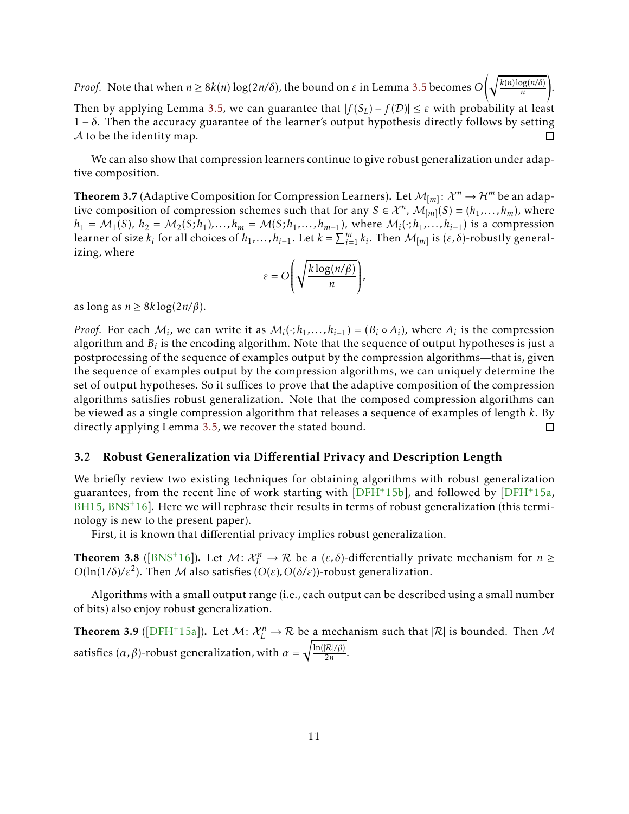*Proof.* Note that when *n* ≥ 8*k*(*n*) log(2*n/δ*), the bound on *ε* in Lemma [3.5](#page-9-1) becomes *O*  $\int k(n) \log(n/\delta)$ *n* ! . Then by applying Lemma [3.5,](#page-9-1) we can guarantee that  $|f(S_L) - f(\mathcal{D})| \leq \varepsilon$  with probability at least 1 − *δ*. Then the accuracy guarantee of the learner's output hypothesis directly follows by setting  $A$  to be the identity map.

We can also show that compression learners continue to give robust generalization under adaptive composition.

<span id="page-10-0"></span>Theorem 3.7 (Adaptive Composition for Compression Learners). Let  $\mathcal{M}_{[m]} \colon \mathcal{X}^n \to \mathcal{H}^m$  be an adaptive composition of compression schemes such that for any  $S \in \mathcal{X}^n$ ,  $\mathcal{M}_{[m]}(S) = (h_1, \ldots, h_m)$ , where  $h_1 = M_1(S)$ ,  $h_2 = M_2(S; h_1)$ ,..., $h_m = M(S; h_1, \ldots, h_{m-1})$ , where  $M_i(\cdot; h_1, \ldots, h_{i-1})$  is a compression learner of size  $k_i$  for all choices of  $h_1, \ldots, h_{i-1}$ . Let  $k = \sum_{i=1}^m k_i$ . Then  $\mathcal{M}_{[m]}$  is  $(\varepsilon, \delta)$ -robustly generalizing, where

$$
\varepsilon = O\left(\sqrt{\frac{k \log(n/\beta)}{n}}\right),\,
$$

as  $\log \alpha \geq 8k \log(2n/\beta)$ .

*Proof.* For each  $M_i$ , we can write it as  $M_i(\cdot; h_1, \ldots, h_{i-1}) = (B_i \circ A_i)$ , where  $A_i$  is the compression algorithm and  $B_i$  is the encoding algorithm. Note that the sequence of output hypotheses is just a postprocessing of the sequence of examples output by the compression algorithms—that is, given the sequence of examples output by the compression algorithms, we can uniquely determine the set of output hypotheses. So it suffices to prove that the adaptive composition of the compression algorithms satisfies robust generalization. Note that the composed compression algorithms can be viewed as a single compression algorithm that releases a sequence of examples of length *k*. By  $\Box$ directly applying Lemma [3.5,](#page-9-1) we recover the stated bound.

#### 3.2 Robust Generalization via Differential Privacy and Description Length

We briefly review two existing techniques for obtaining algorithms with robust generalization guarantees, from the recent line of work starting with [\[DFH](#page-24-0)+15b], and followed by [\[DFH](#page-24-2)+15a,  $BH15, BNS<sup>+</sup>16$  $BH15, BNS<sup>+</sup>16$  $BH15, BNS<sup>+</sup>16$  $BH15, BNS<sup>+</sup>16$ . Here we will rephrase their results in terms of robust generalization (this terminology is new to the present paper).

First, it is known that differential privacy implies robust generalization.

**Theorem 3.8** ([\[BNS](#page-23-0)<sup>+</sup>16]). Let  $M: \mathcal{X}_L^n \to \mathcal{R}$  be a  $(\varepsilon, \delta)$ -differentially private mechanism for  $n \geq$ *O*(ln(1/*δ*)/ $\varepsilon^2$ ). Then *M* also satisfies (*O*(*ε*)*,O*(*δ*/*ε*))-robust generalization.

Algorithms with a small output range (i.e., each output can be described using a small number of bits) also enjoy robust generalization.

<span id="page-10-1"></span>**Theorem 3.9** ([\[DFH](#page-24-2)<sup>+</sup>15a]). Let  $M: \mathcal{X}_L^n \to \mathcal{R}$  be a mechanism such that  $|\mathcal{R}|$  is bounded. Then M satisfies (*α,β*)-robust generalization, with *α* =  $\sqrt{\frac{\ln(|\mathcal{R}|/\beta)}{2n}}$ .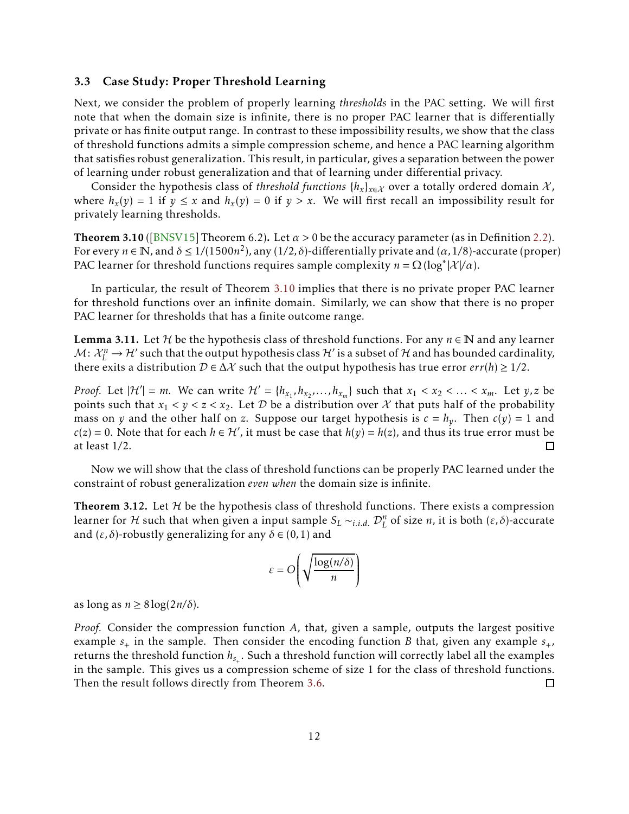#### <span id="page-11-0"></span>3.3 Case Study: Proper Threshold Learning

Next, we consider the problem of properly learning *thresholds* in the PAC setting. We will first note that when the domain size is infinite, there is no proper PAC learner that is differentially private or has finite output range. In contrast to these impossibility results, we show that the class of threshold functions admits a simple compression scheme, and hence a PAC learning algorithm that satisfies robust generalization. This result, in particular, gives a separation between the power of learning under robust generalization and that of learning under differential privacy.

Consider the hypothesis class of *threshold functions*  $\{h_x\}_{x \in \mathcal{X}}$  over a totally ordered domain X, where  $h_x(y) = 1$  if  $y \le x$  and  $h_x(y) = 0$  if  $y > x$ . We will first recall an impossibility result for privately learning thresholds.

<span id="page-11-1"></span>Theorem 3.10 ([\[BNSV15](#page-24-11)] Theorem 6.2). Let  $\alpha > 0$  be the accuracy parameter (as in Definition [2.2\)](#page-4-1). For every  $n \in \mathbb{N}$ , and  $\delta \le 1/(1500n^2)$ , any  $(1/2, \delta)$ -differentially private and  $(\alpha, 1/8)$ -accurate (proper) PAC learner for threshold functions requires sample complexity  $n = \Omega(\log^*|\mathcal{X}|/\alpha)$ .

In particular, the result of Theorem [3.10](#page-11-1) implies that there is no private proper PAC learner for threshold functions over an infinite domain. Similarly, we can show that there is no proper PAC learner for thresholds that has a finite outcome range.

**Lemma 3.11.** Let H be the hypothesis class of threshold functions. For any  $n \in \mathbb{N}$  and any learner  $\mathcal{M}\colon \mathcal{X}_L^n \to \mathcal{H}'$  such that the output hypothesis class  $\mathcal{H}'$  is a subset of  $\mathcal H$  and has bounded cardinality, there exits a distribution  $D \in \Delta \mathcal{X}$  such that the output hypothesis has true error *err*(*h*) ≥ 1/2.

*Proof.* Let  $|\mathcal{H}'| = m$ . We can write  $\mathcal{H}' = \{h_{x_1}, h_{x_2}, \ldots, h_{x_m}\}$  such that  $x_1 < x_2 < \ldots < x_m$ . Let  $y, z$  be points such that  $x_1 < y < z < x_2$ . Let D be a distribution over X that puts half of the probability mass on *y* and the other half on *z*. Suppose our target hypothesis is  $c = h_y$ . Then  $c(y) = 1$  and *c*(*z*) = 0. Note that for each *h* ∈ *H'*, it must be case that *h*(*y*) = *h*(*z*), and thus its true error must be at least 1*/*2. П

Now we will show that the class of threshold functions can be properly PAC learned under the constraint of robust generalization *even when* the domain size is infinite.

**Theorem 3.12.** Let  $H$  be the hypothesis class of threshold functions. There exists a compression learner for  $H$  such that when given a input sample  $S_L \sim_{i.i.d.} \mathcal{D}_L^n$  of size *n*, it is both  $(\varepsilon, \delta)$ -accurate and  $(\varepsilon, \delta)$ -robustly generalizing for any  $\delta \in (0, 1)$  and

$$
\varepsilon = O\left(\sqrt{\frac{\log(n/\delta)}{n}}\right)
$$

as  $\log \alpha \geq 8 \log(2n/\delta)$ .

*Proof.* Consider the compression function *A*, that, given a sample, outputs the largest positive example  $s_+$  in the sample. Then consider the encoding function *B* that, given any example  $s_+$ , returns the threshold function  $h_{s_+}.$  Such a threshold function will correctly label all the examples in the sample. This gives us a compression scheme of size 1 for the class of threshold functions. Then the result follows directly from Theorem [3.6.](#page-9-0)  $\Box$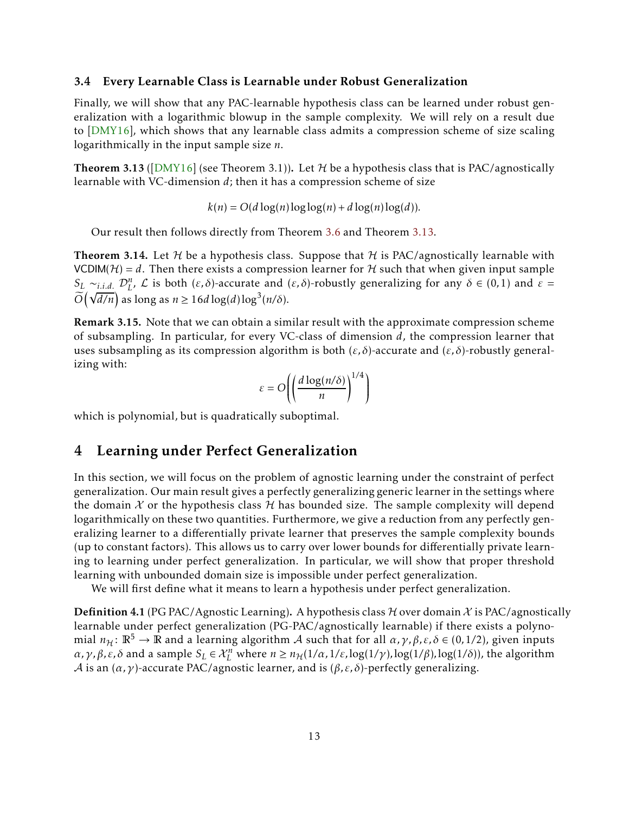#### 3.4 Every Learnable Class is Learnable under Robust Generalization

Finally, we will show that any PAC-learnable hypothesis class can be learned under robust generalization with a logarithmic blowup in the sample complexity. We will rely on a result due to [\[DMY16](#page-24-4)], which shows that any learnable class admits a compression scheme of size scaling logarithmically in the input sample size *n*.

<span id="page-12-1"></span>**Theorem 3.13** ([\[DMY16\]](#page-24-4) (see Theorem 3.1)). Let H be a hypothesis class that is PAC/agnostically learnable with VC-dimension *d*; then it has a compression scheme of size

$$
k(n) = O(d \log(n) \log \log(n) + d \log(n) \log(d)).
$$

Our result then follows directly from Theorem [3.6](#page-9-0) and Theorem [3.13](#page-12-1).

<span id="page-12-0"></span>**Theorem 3.14.** Let H be a hypothesis class. Suppose that H is PAC/agnostically learnable with VCDIM( $H$ ) = *d*. Then there exists a compression learner for  $H$  such that when given input sample *S*<sub>*L*</sub> ∼*i.i.d.*  $\mathcal{D}_L^n$ , *L* is both (*ε, δ*)-accurate and (*ε, δ*)-robustly generalizing for any *δ* ∈ (0*,*1) and *ε* =  $\widetilde{O}(\sqrt{d/n})$  as long as  $n \ge 16d \log(d) \log^3(n/\delta)$ .

Remark 3.15. Note that we can obtain a similar result with the approximate compression scheme of subsampling. In particular, for every VC-class of dimension *d*, the compression learner that uses subsampling as its compression algorithm is both (*ε, δ*)-accurate and (*ε, δ*)-robustly generalizing with:

$$
\varepsilon = O\left(\left(\frac{d \log(n/\delta)}{n}\right)^{1/4}\right)
$$

which is polynomial, but is quadratically suboptimal.

### 4 Learning under Perfect Generalization

In this section, we will focus on the problem of agnostic learning under the constraint of perfect generalization. Our main result gives a perfectly generalizing generic learner in the settings where the domain  $X$  or the hypothesis class  $H$  has bounded size. The sample complexity will depend logarithmically on these two quantities. Furthermore, we give a reduction from any perfectly generalizing learner to a differentially private learner that preserves the sample complexity bounds (up to constant factors). This allows us to carry over lower bounds for differentially private learning to learning under perfect generalization. In particular, we will show that proper threshold learning with unbounded domain size is impossible under perfect generalization.

We will first define what it means to learn a hypothesis under perfect generalization.

**Definition 4.1** (PG PAC/Agnostic Learning). A hypothesis class  $H$  over domain  $X$  is PAC/agnostically learnable under perfect generalization (PG-PAC/agnostically learnable) if there exists a polynomial  $n_H : \mathbb{R}^5 \to \mathbb{R}$  and a learning algorithm A such that for all  $\alpha, \gamma, \beta, \varepsilon, \delta \in (0, 1/2)$ , given inputs *α,γ,β,ε,δ* and a sample  $S_L$  ∈  $\mathcal{X}_L^n$  where  $n \ge n_{\mathcal{H}}(1/\alpha, 1/\varepsilon, \log(1/\gamma), \log(1/\beta), \log(1/\delta))$ , the algorithm A is an  $(\alpha, \gamma)$ -accurate PAC/agnostic learner, and is  $(\beta, \varepsilon, \delta)$ -perfectly generalizing.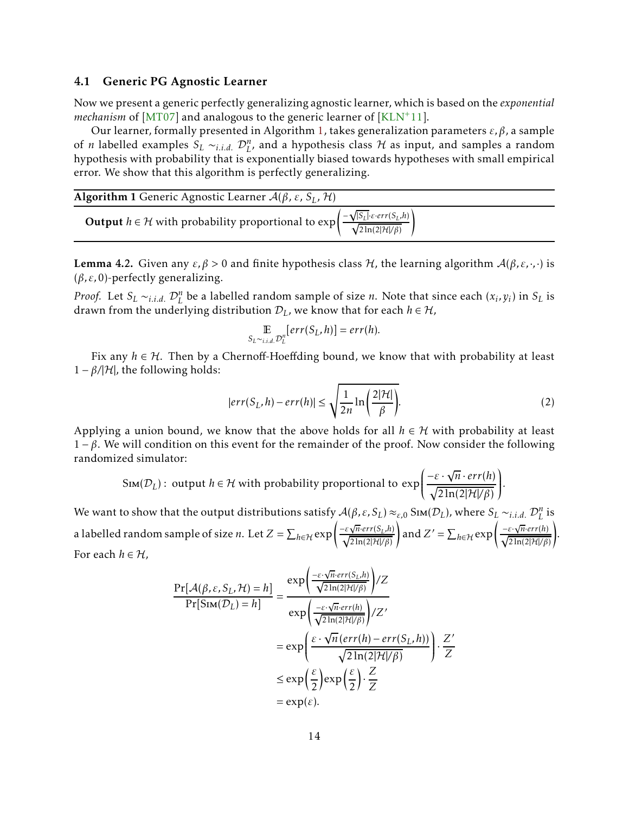#### <span id="page-13-0"></span>4.1 Generic PG Agnostic Learner

Now we present a generic perfectly generalizing agnostic learner, which is based on the *exponential mechanism* of [\[MT07\]](#page-24-10) and analogous to the generic learner of [\[KLN](#page-24-9)+11].

Our learner, formally presented in Algorithm [1](#page-13-1), takes generalization parameters *ε,β*, a sample of *n* labelled examples  $S_L \sim_{i.i.d.} \mathcal{D}_L^n$ , and a hypothesis class H as input, and samples a random hypothesis with probability that is exponentially biased towards hypotheses with small empirical error. We show that this algorithm is perfectly generalizing.

<span id="page-13-1"></span>

| <b>Algorithm 1</b> Generic Agnostic Learner $A(\beta, \varepsilon, S_L, \mathcal{H})$                                                                                       |  |
|-----------------------------------------------------------------------------------------------------------------------------------------------------------------------------|--|
| <b>Output</b> $h \in \mathcal{H}$ with probability proportional to $\exp\left(\frac{-\sqrt{ S_L } \varepsilon \cdot err(S_L, h)}{\sqrt{2\ln(2 \mathcal{H} /\beta)}}\right)$ |  |

**Lemma 4.2.** Given any  $ε, β > 0$  and finite hypothesis class *H*, the learning algorithm  $A(β, ε, ·, ·)$  is (*β,ε,*0)-perfectly generalizing.

*Proof.* Let  $S_L \sim_{i.i.d.} D_L^n$  be a labelled random sample of size *n*. Note that since each  $(x_i, y_i)$  in  $S_L$  is drawn from the underlying distribution  $D_L$ , we know that for each  $h \in H$ ,

$$
\mathop{\mathbb{E}}_{S_L \sim i.i.d.} \mathcal{D}_L^n[err(S_L, h)] = err(h).
$$

Fix any  $h \in \mathcal{H}$ . Then by a Chernoff-Hoeffding bound, we know that with probability at least  $1 - \beta / |\mathcal{H}|$ , the following holds:

<span id="page-13-2"></span>
$$
|err(S_L, h) - err(h)| \le \sqrt{\frac{1}{2n} \ln \left(\frac{2|\mathcal{H}|}{\beta}\right)}.
$$
 (2)

*.*

Applying a union bound, we know that the above holds for all  $h \in H$  with probability at least 1 − *β*. We will condition on this event for the remainder of the proof. Now consider the following randomized simulator:

$$
\text{Sim}(\mathcal{D}_L): \text{ output } h \in \mathcal{H} \text{ with probability proportional to } \exp\left(\frac{-\varepsilon \cdot \sqrt{n} \cdot \text{err}(h)}{\sqrt{2\ln(2|\mathcal{H}|/\beta)}}\right)
$$

We want to show that the output distributions satisfy  $\mathcal{A}(\beta,\varepsilon,S_L)\approx_{\varepsilon,0}\mathrm{Sim}(\mathcal{D}_L)$ , where  $S_L\sim_{i.i.d.}\mathcal{D}_L^n$  is a labelled random sample of size *n*. Let  $Z = \sum_{h \in \mathcal{H}} exp \left( \frac{-\varepsilon \sqrt{n} \cdot err(S_L, h)}{\sqrt{2 \ln(2|\mathcal{H}|/\beta)}} \right)$ ! and  $Z' = \sum_{h \in \mathcal{H}} \exp \left( \frac{-\varepsilon \cdot \sqrt{n} \cdot err(h)}{\sqrt{2 \ln(2|\mathcal{H}|/\beta)}} \right)$ ! . For each  $h \in \mathcal{H}$ ,

$$
\frac{\Pr[\mathcal{A}(\beta,\varepsilon,S_L,\mathcal{H})=h]}{\Pr[\text{Sim}(\mathcal{D}_L)=h]} = \frac{\exp\left(\frac{-\varepsilon\cdot\sqrt{n}\cdot err(S_L,h)}{\sqrt{2\ln(2|\mathcal{H}|/\beta)}}\right)/Z}{\exp\left(\frac{-\varepsilon\cdot\sqrt{n}\cdot err(h)}{\sqrt{2\ln(2|\mathcal{H}|/\beta)}}\right)/Z'}
$$

$$
= \exp\left(\frac{\varepsilon\cdot\sqrt{n}\left(err(h)-err(S_L,h)\right)}{\sqrt{2\ln(2|\mathcal{H}|/\beta)}}\right)\cdot\frac{Z'}{Z}
$$

$$
\leq \exp\left(\frac{\varepsilon}{2}\right)\exp\left(\frac{\varepsilon}{2}\right)\cdot\frac{Z}{Z}
$$

$$
= \exp(\varepsilon).
$$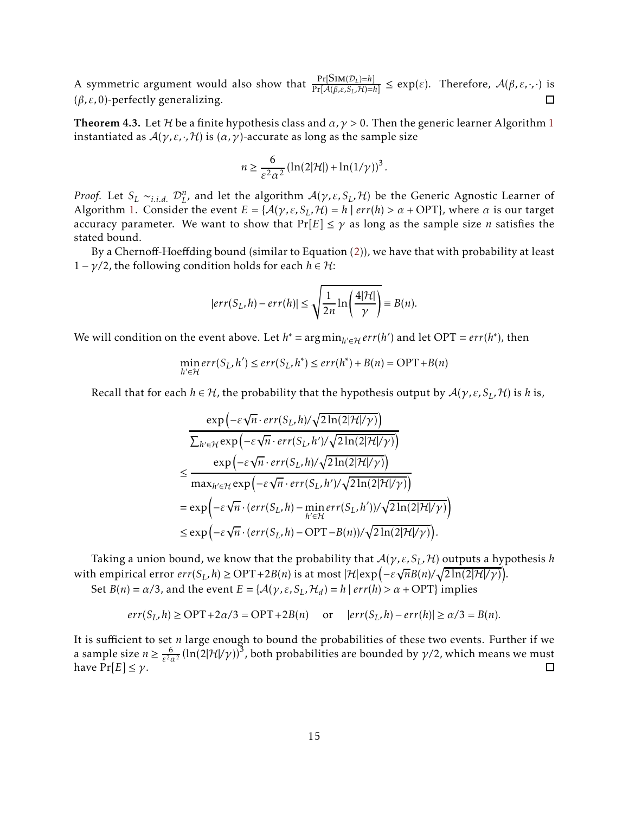A symmetric argument would also show that  $\frac{\Pr[\text{Sim}(D_L)=h]}{\Pr[d(R, \varepsilon, S, H)=h]}$  $\frac{\Pr[\text{Sim}(U_L) = n]}{\Pr[\mathcal{A}(\beta,\varepsilon,S_L,\mathcal{H}) = h]} \leq \exp(\varepsilon).$  Therefore,  $\mathcal{A}(\beta,\varepsilon,\cdot,\cdot)$  is (*β,ε,*0)-perfectly generalizing.  $\Box$ 

<span id="page-14-0"></span>Theorem 4.3. Let H be a finite hypothesis class and  $\alpha$ ,  $\gamma$  > 0. Then the generic learner Algorithm [1](#page-13-1) instantiated as  $A(\gamma,\varepsilon,\cdot,\mathcal{H})$  is  $(\alpha,\gamma)$ -accurate as long as the sample size

$$
n \geq \frac{6}{\varepsilon^2 \alpha^2} \left( \ln(2|\mathcal{H}|) + \ln(1/\gamma) \right)^3.
$$

*Proof.* Let  $S_L \sim_{i.i.d.} D^n_L$ , and let the algorithm  $A(\gamma, \varepsilon, S_L, \mathcal{H})$  be the Generic Agnostic Learner of Algorithm [1.](#page-13-1) Consider the event  $E = \{A(\gamma, \varepsilon, S_L, \mathcal{H}) = h \mid err(h) > \alpha + \text{OPT}\}\$ , where  $\alpha$  is our target accuracy parameter. We want to show that  $Pr[E] \leq \gamma$  as long as the sample size *n* satisfies the stated bound.

By a Chernoff-Hoeffding bound (similar to Equation [\(2](#page-13-2))), we have that with probability at least  $1 - \gamma/2$ , the following condition holds for each  $h \in H$ :

$$
|err(S_L, h) - err(h)| \le \sqrt{\frac{1}{2n} \ln \left( \frac{4|\mathcal{H}|}{\gamma} \right)} \equiv B(n).
$$

We will condition on the event above. Let  $h^* = \arg \min_{h' \in \mathcal{H}} err(h')$  and let OPT =  $err(h^*)$ , then

$$
\min_{h' \in \mathcal{H}} err(S_L, h') \le err(S_L, h^*) \le err(h^*) + B(n) = \text{OPT} + B(n)
$$

Recall that for each  $h \in H$ , the probability that the hypothesis output by  $\mathcal{A}(\gamma,\varepsilon,S_L,\mathcal{H})$  is *h* is,

$$
\exp\left(-\varepsilon\sqrt{n}\cdot err(S_L, h)/\sqrt{2\ln(2|\mathcal{H}|/\gamma)}\right)
$$
\n
$$
\frac{\sum_{h'\in\mathcal{H}}\exp\left(-\varepsilon\sqrt{n}\cdot err(S_L, h')/\sqrt{2\ln(2|\mathcal{H}|/\gamma)}\right)}{\exp\left(-\varepsilon\sqrt{n}\cdot err(S_L, h)/\sqrt{2\ln(2|\mathcal{H}|/\gamma)}\right)}
$$
\n
$$
\leq \frac{\exp\left(-\varepsilon\sqrt{n}\cdot err(S_L, h')/\sqrt{2\ln(2|\mathcal{H}|/\gamma)}\right)}{\max_{h'\in\mathcal{H}}\exp\left(-\varepsilon\sqrt{n}\cdot err(S_L, h')-\min_{h'\in\mathcal{H}}err(S_L, h'))/\sqrt{2\ln(2|\mathcal{H}|/\gamma)}\right)}
$$
\n
$$
\leq \exp\left(-\varepsilon\sqrt{n}\cdot\left(err(S_L, h)-\text{OPT}-B(n)\right)/\sqrt{2\ln(2|\mathcal{H}|/\gamma)}\right).
$$

Taking a union bound, we know that the probability that A(*γ,ε,SL,*H) outputs a hypothesis *h* with empirical error  $err(S_L, h) \ge \text{OPT} + 2B(n)$  is at most  $|\mathcal{H}| \exp(-\varepsilon \sqrt{n}B(n)/\sqrt{2\ln(2|\mathcal{H}|/\gamma)})$ . Set *B*(*n*) = *α*/3, and the event *E* = { $A(\gamma, \varepsilon, S_L, \mathcal{H}_d) = h | err(h) > \alpha + \text{OPT}$ } implies

$$
err(S_L, h) \geq OPT + 2\alpha/3 = OPT + 2B(n)
$$
 or  $|err(S_L, h) - err(h)| \geq \alpha/3 = B(n)$ .

It is sufficient to set *n* large enough to bound the probabilities of these two events. Further if we a sample size  $n \geq \frac{6}{\varepsilon^2 \varepsilon}$  $\frac{6}{\epsilon^2 \alpha^2}$  (ln(2|H|/*γ*))<sup>3</sup>, both probabilities are bounded by *γ*/2, which means we must have  $Pr[E] \leq \gamma$ .  $\Box$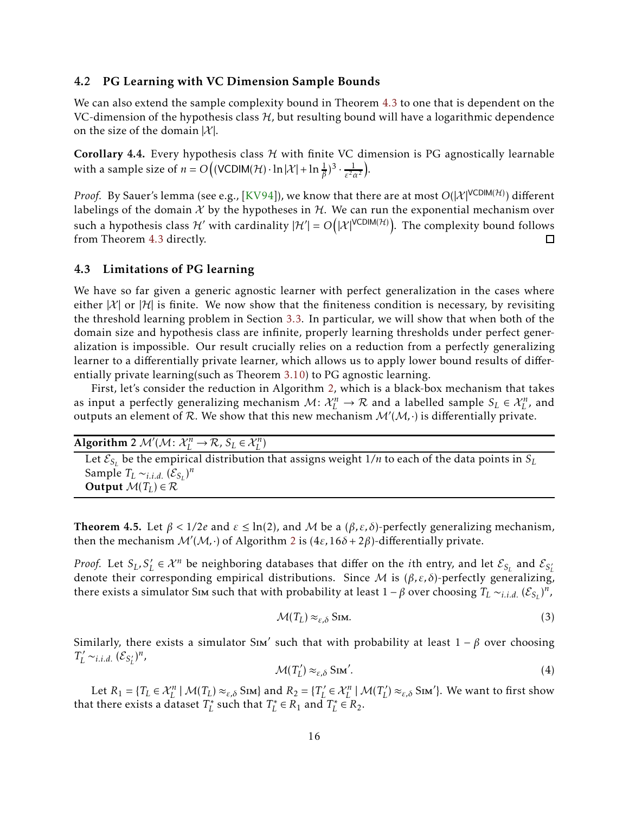#### 4.2 PG Learning with VC Dimension Sample Bounds

We can also extend the sample complexity bound in Theorem [4.3](#page-14-0) to one that is dependent on the VC-dimension of the hypothesis class  $H$ , but resulting bound will have a logarithmic dependence on the size of the domain  $|X|$ .

**Corollary 4.4.** Every hypothesis class  $H$  with finite VC dimension is PG agnostically learnable with a sample size of  $n = O\left((VCDIM(\mathcal{H}) \cdot \ln|\mathcal{X}| + \ln \frac{1}{\beta})^3 \cdot \frac{1}{\varepsilon^2 c^2}\right)$ *ε* <sup>2</sup>*α*<sup>2</sup> .

*Proof.* By Sauer's lemma (see e.g., [\[KV94\]](#page-24-5)), we know that there are at most  $O(|\mathcal{X}|^{\mathsf{VCDIM}(\mathcal{H})})$  different labelings of the domain  $\mathcal X$  by the hypotheses in  $\mathcal H$ . We can run the exponential mechanism over such a hypothesis class  $\mathcal{H}'$  with cardinality  $|\mathcal{H}'|=O\big(|\mathcal{X}|^{\mathsf{VCDIM}(\mathcal{H})}\big)$ . The complexity bound follows from Theorem [4.3](#page-14-0) directly.  $\Box$ 

#### 4.3 Limitations of PG learning

We have so far given a generic agnostic learner with perfect generalization in the cases where either  $|X|$  or  $|X|$  is finite. We now show that the finiteness condition is necessary, by revisiting the threshold learning problem in Section [3.3.](#page-11-0) In particular, we will show that when both of the domain size and hypothesis class are infinite, properly learning thresholds under perfect generalization is impossible. Our result crucially relies on a reduction from a perfectly generalizing learner to a differentially private learner, which allows us to apply lower bound results of differentially private learning(such as Theorem [3.10](#page-11-1)) to PG agnostic learning.

First, let's consider the reduction in Algorithm [2,](#page-15-0) which is a black-box mechanism that takes as input a perfectly generalizing mechanism  $M: \mathcal{X}_L^n \to \mathcal{R}$  and a labelled sample  $S_L \in \mathcal{X}_L^n$ , and outputs an element of  $R$ . We show that this new mechanism  $\mathcal{M}'(\mathcal{M},\cdot)$  is differentially private.

<span id="page-15-0"></span>

| Algorithm 2 $\mathcal{M}'(\mathcal{M}: \mathcal{X}_I^n \to \mathcal{R}, S_I \in \mathcal{X}_I^n)$                       |  |
|-------------------------------------------------------------------------------------------------------------------------|--|
| Let $\mathcal{E}_S$ , be the empirical distribution that assigns weight 1/ <i>n</i> to each of the data points in $S_L$ |  |
| Sample $T_L \sim_{i.i.d.} (\mathcal{E}_{S_L})^n$                                                                        |  |
| Output $\mathcal{M}(T_L) \in \mathcal{R}$                                                                               |  |
|                                                                                                                         |  |

<span id="page-15-1"></span>**Theorem 4.5.** Let  $\beta < 1/2e$  and  $\varepsilon \leq \ln(2)$ , and M be a  $(\beta, \varepsilon, \delta)$ -perfectly generalizing mechanism, then the mechanism  $\mathcal{M}'(\mathcal{M},.)$  of Algorithm [2](#page-15-0) is  $(4\varepsilon, 16\delta + 2\beta)$ -differentially private.

*Proof.* Let  $S_L$ ,  $S'_L \in \mathcal{X}^n$  be neighboring databases that differ on the *i*th entry, and let  $\mathcal{E}_{S_L}$  and  $\mathcal{E}_{S'_L}$ denote their corresponding empirical distributions. Since M is (*β,ε, δ*)-perfectly generalizing, there exists a simulator Sim such that with probability at least  $1 - \beta$  over choosing  $T_L \sim_{i.i.d.} (\mathcal{E}_{S_L})^n$ ,

$$
\mathcal{M}(T_L) \approx_{\varepsilon,\delta} \text{Sim.}
$$
 (3)

Similarly, there exists a simulator Sim<sup>'</sup> such that with probability at least  $1 - \beta$  over choosing  $T'_L \sim_{i.i.d.} (\mathcal{E}_{S'_L})^n$ ,

$$
\mathcal{M}(T_L') \approx_{\varepsilon,\delta} \text{Sim}'.
$$
 (4)

Let  $R_1 = \{T_L \in \mathcal{X}_L^n \mid \mathcal{M}(T_L) \approx_{\varepsilon,\delta} \text{Sim}\}$  and  $R_2 = \{T'_L \in \mathcal{X}_L^n \mid \mathcal{M}(T'_L) \approx_{\varepsilon,\delta} \text{Sim}'\}$ . We want to first show that there exists a dataset  $T_L^*$  such that  $T_L^* \in R_1$  and  $T_L^* \in R_2$ .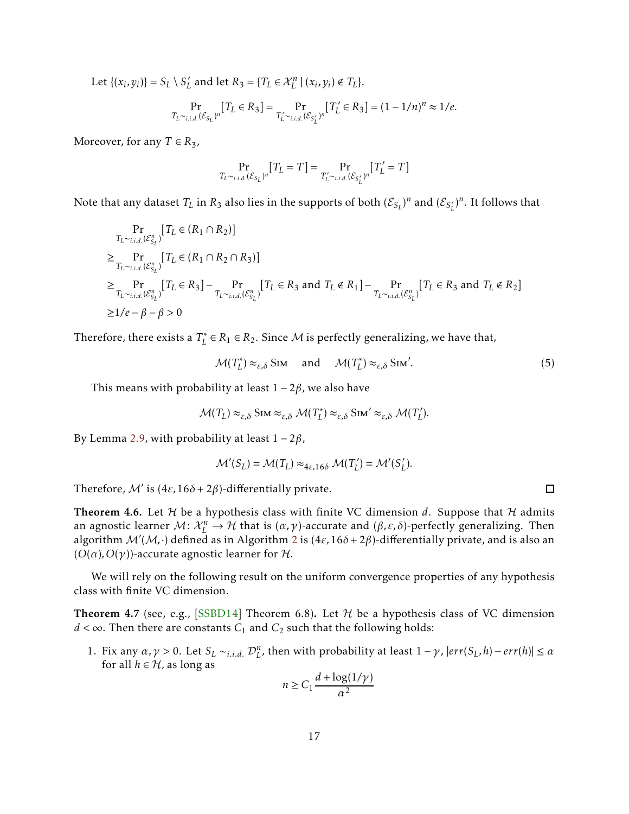Let  $\{(x_i, y_i)\} = S_L \setminus S'_L$  and let  $R_3 = \{T_L \in \mathcal{X}_L^n \mid (x_i, y_i) \notin T_L\}.$ 

$$
\Pr_{T_L \sim_{i.i.d.} (\mathcal{E}_{S_L})^n} [T_L \in R_3] = \Pr_{T_L' \sim_{i.i.d.} (\mathcal{E}_{S_L'})^n} [T_L' \in R_3] = (1 - 1/n)^n \approx 1/e.
$$

Moreover, for any  $T \in R_3$ ,

$$
\Pr_{T_L \sim_{i.i.d.} (\mathcal{E}_{S_L})^n} [T_L = T] = \Pr_{T'_L \sim_{i.i.d.} (\mathcal{E}_{S'_L})^n} [T'_L = T]
$$

Note that any dataset  $T_L$  in  $R_3$  also lies in the supports of both  $(\mathcal{E}_{S_L})^n$  and  $(\mathcal{E}_{S_L'})^n$ . It follows that

$$
\Pr_{T_L \sim_{i.i.d.} (\mathcal{E}_{S_L}^n)} [T_L \in (R_1 \cap R_2)]
$$
\n
$$
\geq \Pr_{T_L \sim_{i.i.d.} (\mathcal{E}_{S_L}^n)} [T_L \in (R_1 \cap R_2 \cap R_3)]
$$
\n
$$
\geq \Pr_{T_L \sim_{i.i.d.} (\mathcal{E}_{S_L}^n)} [T_L \in R_3] - \Pr_{T_L \sim_{i.i.d.} (\mathcal{E}_{S_L}^n)} [T_L \in R_3 \text{ and } T_L \notin R_1] - \Pr_{T_L \sim_{i.i.d.} (\mathcal{E}_{S_L}^n)} [T_L \in R_3 \text{ and } T_L \notin R_2]
$$
\n
$$
\geq 1/e - \beta - \beta > 0
$$

Therefore, there exists a  $T_L^* \in R_1 \in R_2$ . Since  ${\cal M}$  is perfectly generalizing, we have that,

$$
\mathcal{M}(T_L^*) \approx_{\varepsilon,\delta} \text{Sim} \quad \text{and} \quad \mathcal{M}(T_L^*) \approx_{\varepsilon,\delta} \text{Sim}'. \tag{5}
$$

This means with probability at least  $1 - 2\beta$ , we also have

$$
\mathcal{M}(T_L) \approx_{\varepsilon,\delta} \text{Sim} \approx_{\varepsilon,\delta} \mathcal{M}(T_L^*) \approx_{\varepsilon,\delta} \text{Sim}' \approx_{\varepsilon,\delta} \mathcal{M}(T_L').
$$

By Lemma [2.9,](#page-6-2) with probability at least 1 − 2*β*,

$$
\mathcal{M}'(S_L) = \mathcal{M}(T_L) \approx_{4\epsilon, 16\delta} \mathcal{M}(T'_L) = \mathcal{M}'(S'_L).
$$

Therefore,  $\mathcal{M}'$  is  $(4\varepsilon, 16\delta + 2\beta)$ -differentially private.

<span id="page-16-0"></span>**Theorem 4.6.** Let  $H$  be a hypothesis class with finite VC dimension d. Suppose that  $H$  admits an agnostic learner  $M: \mathcal{X}_L^n \to \mathcal{H}$  that is  $(\alpha, \gamma)$ -accurate and  $(\beta, \varepsilon, \delta)$ -perfectly generalizing. Then algorithm  $\mathcal{M}'(\mathcal{M},\cdot)$  defined as in Algorithm [2](#page-15-0) is  $(4\varepsilon,16\delta+2\beta)$ -differentially private, and is also an  $(O(\alpha), O(\gamma))$ -accurate agnostic learner for H.

We will rely on the following result on the uniform convergence properties of any hypothesis class with finite VC dimension.

<span id="page-16-1"></span>**Theorem 4.7** (see, e.g., [\[SSBD14\]](#page-25-2) Theorem 6.8). Let  $H$  be a hypothesis class of VC dimension *d* < ∞. Then there are constants  $C_1$  and  $C_2$  such that the following holds:

1. Fix any  $\alpha, \gamma > 0$ . Let  $S_L \sim_{i.i.d.} \mathcal{D}_L^n$ , then with probability at least  $1 - \gamma$ ,  $|err(S_L, h) - err(h)| \leq \alpha$ for all  $h \in H$ , as long as

$$
n \ge C_1 \frac{d + \log(1/\gamma)}{\alpha^2}
$$

 $\Box$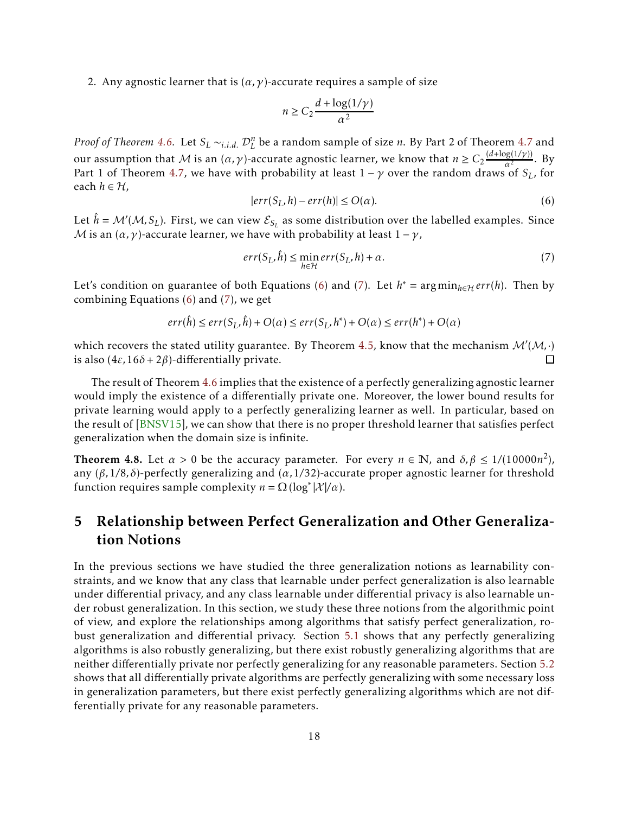2. Any agnostic learner that is  $(\alpha, \gamma)$ -accurate requires a sample of size

$$
n \ge C_2 \frac{d + \log(1/\gamma)}{\alpha^2}
$$

*Proof of Theorem [4.6.](#page-16-0)* Let  $S_L \sim_{i.i.d.} D_L^n$  be a random sample of size *n*. By Part 2 of Theorem [4.7](#page-16-1) and our assumption that  $M$  is an  $(\alpha, \gamma)$ -accurate agnostic learner, we know that  $n \geq C_2 \frac{(d + \log(1/\gamma))}{\alpha^2}$  $\frac{\alpha^2}{\alpha^2}$ . By Part 1 of Theorem [4.7](#page-16-1), we have with probability at least  $1 - \gamma$  over the random draws of  $S_L$ , for each  $h \in H$ ,

<span id="page-17-0"></span>
$$
|err(S_L, h) - err(h)| \le O(\alpha). \tag{6}
$$

Let  $\hat{h} = \mathcal{M}'(\mathcal{M}, S_L)$ . First, we can view  $\mathcal{E}_{S_L}$  as some distribution over the labelled examples. Since *M* is an  $(\alpha, \gamma)$ -accurate learner, we have with probability at least  $1 - \gamma$ ,

<span id="page-17-1"></span>
$$
err(S_L, \hat{h}) \le \min_{h \in \mathcal{H}} err(S_L, h) + \alpha. \tag{7}
$$

Let's condition on guarantee of both Equations [\(6\)](#page-17-0) and [\(7\)](#page-17-1). Let  $h^* = \arg \min_{h \in \mathcal{H}} err(h)$ . Then by combining Equations [\(6](#page-17-0)) and [\(7](#page-17-1)), we get

$$
err(\hat{h}) \le err(S_L, \hat{h}) + O(\alpha) \le err(S_L, h^*) + O(\alpha) \le err(h^*) + O(\alpha)
$$

which recovers the stated utility guarantee. By Theorem [4.5,](#page-15-1) know that the mechanism  $\mathcal{M}'(\mathcal{M},\cdot)$ is also  $(4\varepsilon, 16\delta + 2\beta)$ -differentially private.

The result of Theorem [4.6](#page-16-0) implies that the existence of a perfectly generalizing agnostic learner would imply the existence of a differentially private one. Moreover, the lower bound results for private learning would apply to a perfectly generalizing learner as well. In particular, based on the result of [\[BNSV15\]](#page-24-11), we can show that there is no proper threshold learner that satisfies perfect generalization when the domain size is infinite.

Theorem 4.8. Let  $\alpha > 0$  be the accuracy parameter. For every  $n \in \mathbb{N}$ , and  $\delta, \beta \leq 1/(10000n^2)$ , any (*β,*1*/*8*, δ*)-perfectly generalizing and (*α,*1*/*32)-accurate proper agnostic learner for threshold function requires sample complexity  $n = \Omega(\log^*|\mathcal{X}|/\alpha)$ .

## 5 Relationship between Perfect Generalization and Other Generalization Notions

In the previous sections we have studied the three generalization notions as learnability constraints, and we know that any class that learnable under perfect generalization is also learnable under differential privacy, and any class learnable under differential privacy is also learnable under robust generalization. In this section, we study these three notions from the algorithmic point of view, and explore the relationships among algorithms that satisfy perfect generalization, robust generalization and differential privacy. Section [5.1](#page-18-0) shows that any perfectly generalizing algorithms is also robustly generalizing, but there exist robustly generalizing algorithms that are neither differentially private nor perfectly generalizing for any reasonable parameters. Section [5.2](#page-19-0) shows that all differentially private algorithms are perfectly generalizing with some necessary loss in generalization parameters, but there exist perfectly generalizing algorithms which are not differentially private for any reasonable parameters.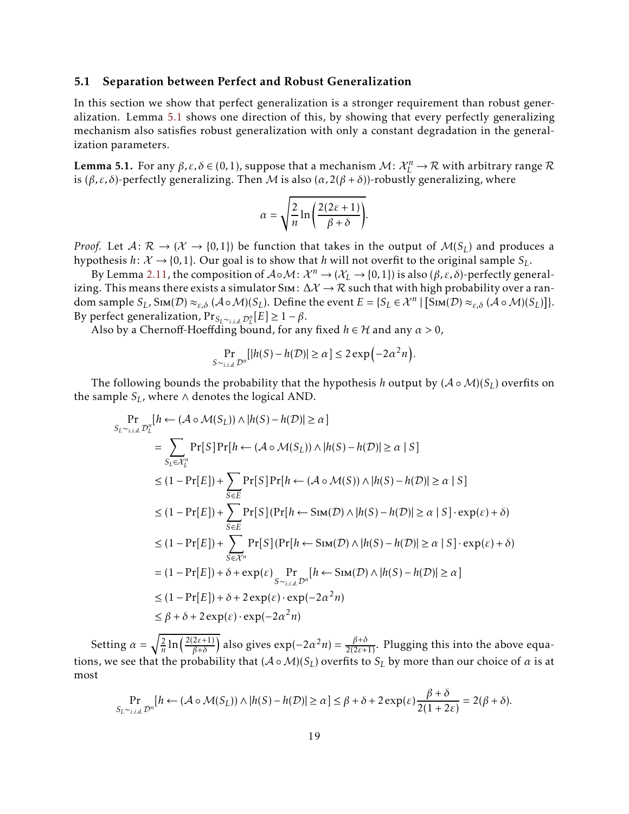#### <span id="page-18-0"></span>5.1 Separation between Perfect and Robust Generalization

In this section we show that perfect generalization is a stronger requirement than robust generalization. Lemma [5.1](#page-18-1) shows one direction of this, by showing that every perfectly generalizing mechanism also satisfies robust generalization with only a constant degradation in the generalization parameters.

<span id="page-18-1"></span>**Lemma 5.1.** For any  $β, ε, δ ∈ (0,1)$ , suppose that a mechanism  $M: \mathcal{X}_L^n \to \mathcal{R}$  with arbitrary range  $\mathcal{R}$ is ( $β, ε, δ$ )-perfectly generalizing. Then *M* is also ( $α$ ,  $2(β + δ)$ )-robustly generalizing, where

$$
\alpha = \sqrt{\frac{2}{n} \ln \left( \frac{2(2\varepsilon + 1)}{\beta + \delta} \right)}.
$$

*Proof.* Let  $A: \mathcal{R} \to (\mathcal{X} \to \{0,1\})$  be function that takes in the output of  $M(S_L)$  and produces a hypothesis  $h: \mathcal{X} \to \{0,1\}$ . Our goal is to show that *h* will not overfit to the original sample  $S_L$ .

By Lemma [2.11](#page-7-2), the composition of  $A \circ M$ :  $\mathcal{X}^n \to (\mathcal{X}_L \to \{0,1\})$  is also  $(\beta, \varepsilon, \delta)$ -perfectly generalizing. This means there exists a simulator Sim:  $\Delta \mathcal{X} \rightarrow \mathcal{R}$  such that with high probability over a ran- $\text{dom}\ \text{sample}\ \mathcal{S}_L,\ \text{Sim}(\mathcal{D})\approx_{\varepsilon,\delta}(\mathcal{A}\circ\mathcal{M})(\mathcal{S}_L).$  Define the event  $E=\{\mathcal{S}_L\in\mathcal{X}^n\mid \left[\text{Sim}(\mathcal{D})\approx_{\varepsilon,\delta}(\mathcal{A}\circ\mathcal{M})(\mathcal{S}_L)\right]\}.$ By perfect generalization,  $Pr_{S_L \sim i.i.d} p_L^n[E] \geq 1 - \beta$ .

Also by a Chernoff-Hoeffding bound, for any fixed *<sup>h</sup>* ∈ H and any *α >* 0,

$$
\Pr_{S \sim_{i.i.d.} \mathcal{D}^n} [|h(S) - h(\mathcal{D})| \ge \alpha] \le 2 \exp(-2\alpha^2 n).
$$

The following bounds the probability that the hypothesis *h* output by  $(A \circ M)(S_L)$  overfits on the sample  $S_L$ , where  $\wedge$  denotes the logical AND.

$$
\Pr_{S_L \sim_{i.i.d.} \mathcal{D}_L^n} [h \leftarrow (\mathcal{A} \circ \mathcal{M}(S_L)) \land |h(S) - h(\mathcal{D})| \ge \alpha]
$$
\n
$$
= \sum_{S_L \in \mathcal{X}_L^n} \Pr[S] \Pr[h \leftarrow (\mathcal{A} \circ \mathcal{M}(S_L)) \land |h(S) - h(\mathcal{D})| \ge \alpha | S]
$$
\n
$$
\le (1 - \Pr[E]) + \sum_{S \in E} \Pr[S] \Pr[h \leftarrow (\mathcal{A} \circ \mathcal{M}(S)) \land |h(S) - h(\mathcal{D})| \ge \alpha | S]
$$
\n
$$
\le (1 - \Pr[E]) + \sum_{S \in E} \Pr[S] (\Pr[h \leftarrow \text{Sim}(\mathcal{D}) \land |h(S) - h(\mathcal{D})| \ge \alpha | S] \cdot \exp(\varepsilon) + \delta)
$$
\n
$$
\le (1 - \Pr[E]) + \sum_{S \in \mathcal{X}^n} \Pr[S] (\Pr[h \leftarrow \text{Sim}(\mathcal{D}) \land |h(S) - h(\mathcal{D})| \ge \alpha | S] \cdot \exp(\varepsilon) + \delta)
$$
\n
$$
= (1 - \Pr[E]) + \delta + \exp(\varepsilon) \Pr[\sum_{S \sim_{i.i.d.} \mathcal{D}^n} [h \leftarrow \text{Sim}(\mathcal{D}) \land |h(S) - h(\mathcal{D})| \ge \alpha]
$$
\n
$$
\le (1 - \Pr[E]) + \delta + 2 \exp(\varepsilon) \cdot \exp(-2\alpha^2 n)
$$
\n
$$
\le \beta + \delta + 2 \exp(\varepsilon) \cdot \exp(-2\alpha^2 n)
$$

Setting  $\alpha = \sqrt{\frac{2}{n}}$  $\frac{2}{n}$ ln $\left(\frac{2(2\varepsilon+1)}{\beta+\delta}\right)$  $\left(\frac{2\varepsilon+1}{\beta+\delta}\right)$  also gives  $\exp(-2\alpha^2 n) = \frac{\beta+\delta}{2(2\varepsilon+1)}$ . Plugging this into the above equations, we see that the probability that  $(A \circ M)(S_L)$  overfits to  $S_L$  by more than our choice of  $\alpha$  is at most

$$
\Pr_{S_L \sim_{i.i.d.} \mathcal{D}^n} [h \leftarrow (\mathcal{A} \circ \mathcal{M}(S_L)) \land |h(S) - h(\mathcal{D})| \ge \alpha] \le \beta + \delta + 2 \exp(\varepsilon) \frac{\beta + \delta}{2(1 + 2\varepsilon)} = 2(\beta + \delta).
$$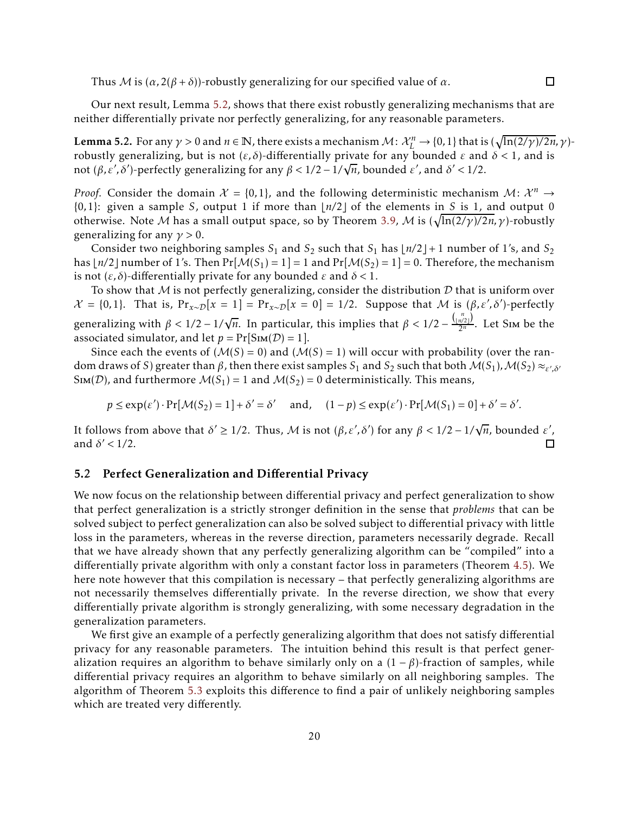Thus M is  $(\alpha, 2(\beta + \delta))$ -robustly generalizing for our specified value of  $\alpha$ .

Our next result, Lemma [5.2,](#page-19-1) shows that there exist robustly generalizing mechanisms that are neither differentially private nor perfectly generalizing, for any reasonable parameters.

<span id="page-19-1"></span>Lemma 5.2. For any  $\gamma > 0$  and  $n \in \mathbb{N}$ , there exists a mechanism  $\mathcal{M} \colon \mathcal{X}_L^n \to \{0,1\}$  that is  $(\sqrt{\ln(2/\gamma)/2n}, \gamma)$ robustly generalizing, but is not (*ε, δ*)-differentially private for any bounded *ε* and *δ <* 1, and is not  $(\beta, \varepsilon', \delta')$ -perfectly generalizing for any  $\beta < 1/2 - 1/\sqrt{n}$ , bounded  $\varepsilon'$ , and  $\delta' < 1/2$ .

*Proof.* Consider the domain  $\mathcal{X} = \{0, 1\}$ , and the following deterministic mechanism  $\mathcal{M} \colon \mathcal{X}^n \to$ {0*,*1}: given a sample *S*, output 1 if more than ⌊*n/*2⌋ of the elements in *S* is 1, and output 0 otherwise. Note *M* has a small output space, so by Theorem [3.9](#page-10-1), *M* is  $(\sqrt{\ln(2/\gamma)/2n}, \gamma)$ -robustly generalizing for any *γ >* 0.

Consider two neighboring samples  $S_1$  and  $S_2$  such that  $S_1$  has  $\lfloor n/2 \rfloor + 1$  number of 1's, and  $S_2$ has  $\lfloor n/2 \rfloor$  number of 1's. Then  $Pr[\mathcal{M}(S_1) = 1] = 1$  and  $Pr[\mathcal{M}(S_2) = 1] = 0$ . Therefore, the mechanism is not (*ε, δ*)-differentially private for any bounded *ε* and *δ <* 1.

To show that M is not perfectly generalizing, consider the distribution  $D$  that is uniform over  $\mathcal{X} = \{0, 1\}$ . That is,  $Pr_{x \sim \mathcal{D}}[x = 1] = Pr_{x \sim \mathcal{D}}[x = 0] = 1/2$ . Suppose that  $\mathcal{M}$  is  $(\beta, \varepsilon', \delta')$ -perfectly generalizing with  $\beta < 1/2 - 1/\sqrt{n}$ . In particular, this implies that  $\beta < 1/2 - \frac{\binom{n}{\lfloor n/2 \rfloor}}{2^n}$  $\frac{n/2}{2^n}$ . Let Sim be the associated simulator, and let  $p = Pr[SIm(\mathcal{D}) = 1]$ .

Since each the events of  $(M(S) = 0)$  and  $(M(S) = 1)$  will occur with probability (over the random draws of *S*) greater than  $\beta$ , then there exist samples  $S_1$  and  $S_2$  such that both  $\mathcal{M}(S_1)$ ,  $\mathcal{M}(S_2) \approx_{\varepsilon',\delta'}$ SIM(*D*), and furthermore  $M(S_1) = 1$  and  $M(S_2) = 0$  deterministically. This means,

$$
p \le \exp(\varepsilon') \cdot \Pr[\mathcal{M}(S_2) = 1] + \delta' = \delta' \quad \text{and}, \quad (1 - p) \le \exp(\varepsilon') \cdot \Pr[\mathcal{M}(S_1) = 0] + \delta' = \delta'.
$$

It follows from above that  $\delta' \geq 1/2$ . Thus, M is not  $(\beta, \varepsilon', \delta')$  for any  $\beta < 1/2 - 1/\sqrt{n}$ , bounded  $\varepsilon'$ , and  $\delta' < 1/2$ .  $\Box$ 

#### <span id="page-19-0"></span>5.2 Perfect Generalization and Differential Privacy

We now focus on the relationship between differential privacy and perfect generalization to show that perfect generalization is a strictly stronger definition in the sense that *problems* that can be solved subject to perfect generalization can also be solved subject to differential privacy with little loss in the parameters, whereas in the reverse direction, parameters necessarily degrade. Recall that we have already shown that any perfectly generalizing algorithm can be "compiled" into a differentially private algorithm with only a constant factor loss in parameters (Theorem [4.5\)](#page-15-1). We here note however that this compilation is necessary – that perfectly generalizing algorithms are not necessarily themselves differentially private. In the reverse direction, we show that every differentially private algorithm is strongly generalizing, with some necessary degradation in the generalization parameters.

We first give an example of a perfectly generalizing algorithm that does not satisfy differential privacy for any reasonable parameters. The intuition behind this result is that perfect generalization requires an algorithm to behave similarly only on a  $(1 - \beta)$ -fraction of samples, while differential privacy requires an algorithm to behave similarly on all neighboring samples. The algorithm of Theorem [5.3](#page-20-1) exploits this difference to find a pair of unlikely neighboring samples which are treated very differently.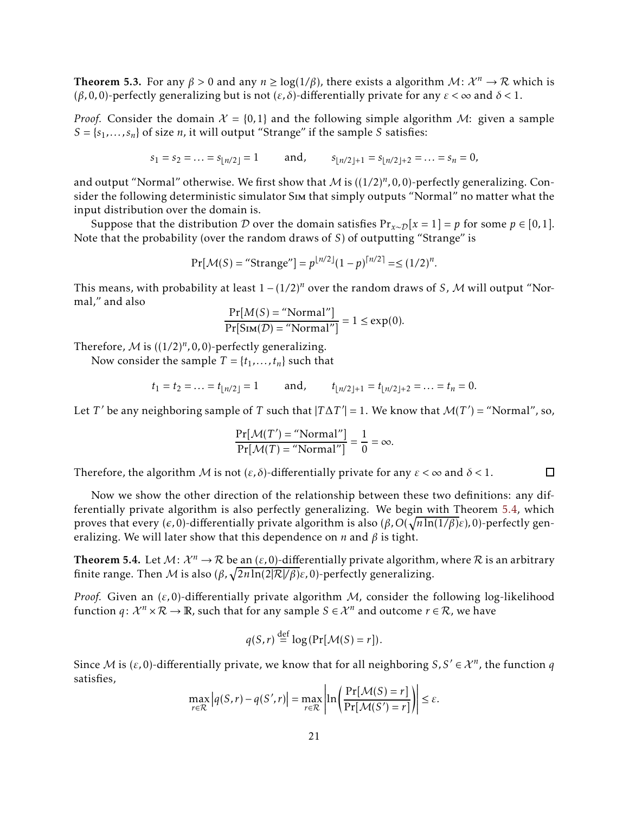<span id="page-20-1"></span>Theorem 5.3. For any  $\beta > 0$  and any  $n \geq log(1/\beta)$ , there exists a algorithm  $\mathcal{M} \colon \mathcal{X}^n \to \mathcal{R}$  which is (*β,*0*,*0)-perfectly generalizing but is not (*ε, δ*)-differentially private for any *ε <* <sup>∞</sup> and *δ <* 1.

*Proof.* Consider the domain  $\mathcal{X} = \{0,1\}$  and the following simple algorithm M: given a sample *S* = {*s*<sup>1</sup> *,... , sn*} of size *n*, it will output "Strange" if the sample *S* satisfies:

$$
s_1 = s_2 = \dots = s_{\lfloor n/2 \rfloor} = 1
$$
 and,  $s_{\lfloor n/2 \rfloor + 1} = s_{\lfloor n/2 \rfloor + 2} = \dots = s_n = 0$ ,

and output "Normal" otherwise. We first show that  $\mathcal M$  is  $((1/2)^n, 0, 0)$ -perfectly generalizing. Consider the following deterministic simulator Sim that simply outputs "Normal" no matter what the input distribution over the domain is.

Suppose that the distribution D over the domain satisfies  $Pr_{x \sim D}[x = 1] = p$  for some  $p \in [0, 1]$ . Note that the probability (over the random draws of *S*) of outputting "Strange" is

$$
Pr[\mathcal{M}(S) = "Strange"] = p^{\lfloor n/2 \rfloor} (1-p)^{\lceil n/2 \rceil} = \le (1/2)^n.
$$

This means, with probability at least 1 <sup>−</sup> (1*/*2)*<sup>n</sup>* over the random draws of *<sup>S</sup>*, <sup>M</sup> will output "Normal," and also

$$
\frac{\Pr[M(S) = \text{"Normal"}]}{\Pr[\text{Sim}(\mathcal{D}) = \text{"Normal"}]} = 1 \le \exp(0).
$$

Therefore,  $M$  is  $((1/2)^n, 0, 0)$ -perfectly generalizing.

Now consider the sample  $T = \{t_1, \ldots, t_n\}$  such that

$$
t_1 = t_2 = \dots = t_{\lfloor n/2 \rfloor} = 1
$$
 and,  $t_{\lfloor n/2 \rfloor + 1} = t_{\lfloor n/2 \rfloor + 2} = \dots = t_n = 0.$ 

Let *T*' be any neighboring sample of *T* such that  $|T\Delta T'| = 1$ . We know that  $\mathcal{M}(T') =$  "Normal", so,

$$
\frac{\Pr[\mathcal{M}(T') = \text{"Normal"}]}{\Pr[\mathcal{M}(T) = \text{"Normal"}]} = \frac{1}{0} = \infty.
$$

Therefore, the algorithm M is not  $(\varepsilon, \delta)$ -differentially private for any  $\varepsilon < \infty$  and  $\delta < 1$ .  $\Box$ 

Now we show the other direction of the relationship between these two definitions: any differentially private algorithm is also perfectly generalizing. We begin with Theorem [5.4,](#page-20-0) which proves that every (*ǫ,*0)-differentially private algorithm is also (*β,O*( p *n*ln(1*/β*)*ε*)*,*0)-perfectly generalizing. We will later show that this dependence on *n* and *β* is tight.

<span id="page-20-0"></span>**Theorem 5.4.** Let  $M: \mathcal{X}^n \to \mathcal{R}$  be an  $(\varepsilon, 0)$ -differentially private algorithm, where  $\mathcal R$  is an arbitrary finite range. Then M is also  $(\beta, \sqrt{2n \ln(2|\mathcal{R}|/\beta)}\varepsilon, 0)$ -perfectly generalizing.

*Proof.* Given an (*ε,*0)-differentially private algorithm <sup>M</sup>, consider the following log-likelihood function  $q: \mathcal{X}^n \times \mathcal{R} \to \mathbb{R}$ , such that for any sample  $S \in \mathcal{X}^n$  and outcome  $r \in \mathcal{R}$ , we have

$$
q(S,r) \stackrel{\text{def}}{=} \log(\Pr[\mathcal{M}(S) = r]).
$$

Since M is  $(\varepsilon, 0)$ -differentially private, we know that for all neighboring  $S, S' \in \mathcal{X}^n$ , the function  $q$ satisfies,  $\Delta$  1

$$
\max_{r \in \mathcal{R}} |q(S,r) - q(S',r)| = \max_{r \in \mathcal{R}} \left| \ln \left( \frac{\Pr[\mathcal{M}(S) = r]}{\Pr[\mathcal{M}(S') = r]} \right) \right| \le \varepsilon.
$$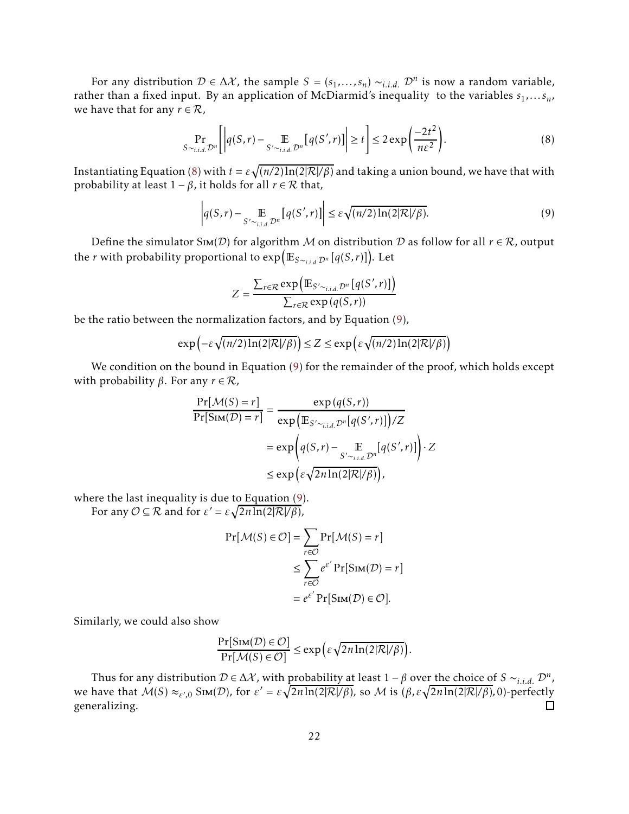For any distribution  $D \in \Delta \mathcal{X}$ , the sample  $S = (s_1, \ldots, s_n) \sim_{i.i.d.} D^n$  is now a random variable, rather than a fixed input. By an application of McDiarmid's inequality to the variables  $s_1, \ldots s_n$ , we have that for any  $r \in \mathcal{R}$ ,

<span id="page-21-0"></span>
$$
\Pr_{S \sim_{i.i.d.} \mathcal{D}^n} \left[ \left| q(S,r) - \mathop{\mathbb{E}}_{S' \sim_{i.i.d.} \mathcal{D}^n} \left[ q(S',r) \right] \right| \ge t \right] \le 2 \exp\left( \frac{-2t^2}{n\varepsilon^2} \right). \tag{8}
$$

Instantiating Equation [\(8\)](#page-21-0) with  $t = \varepsilon \sqrt{(n/2) \ln(2|\mathcal{R}|/\beta)}$  and taking a union bound, we have that with probability at least  $1 - \beta$ , it holds for all  $r \in \mathcal{R}$  that,

<span id="page-21-1"></span>
$$
\left| q(S,r) - \underset{S' \sim i.i.d. \mathcal{D}^n}{\mathbb{E}} \left[ q(S',r) \right] \right| \leq \varepsilon \sqrt{(n/2) \ln(2|\mathcal{R}|/\beta)}.
$$
\n(9)

Define the simulator S<sub>IM</sub>(D) for algorithm M on distribution D as follow for all  $r \in \mathcal{R}$ , output the *r* with probability proportional to exp <sup>E</sup>*S*∼*i.i.d.*D*<sup>n</sup>* [*q*(*S, r*)] . Let

$$
Z = \frac{\sum_{r \in \mathcal{R}} \exp\left(\mathbb{E}_{S' \sim_{i.i.d.} \mathcal{D}^n} \left[ q(S', r) \right] \right)}{\sum_{r \in \mathcal{R}} \exp\left( q(S, r) \right)}
$$

be the ratio between the normalization factors, and by Equation [\(9\)](#page-21-1),

$$
\exp\left(-\varepsilon\sqrt{(n/2)\ln(2|\mathcal{R}|/\beta)}\right) \le Z \le \exp\left(\varepsilon\sqrt{(n/2)\ln(2|\mathcal{R}|/\beta)}\right)
$$

We condition on the bound in Equation [\(9](#page-21-1)) for the remainder of the proof, which holds except with probability  $β$ . For any  $r \in \mathcal{R}$ ,

$$
\frac{\Pr[\mathcal{M}(S) = r]}{\Pr[\text{Sim}(\mathcal{D}) = r]} = \frac{\exp(q(S, r))}{\exp(\mathbb{E}_{S' \sim_{i.i.d.} \mathcal{D}^n}[q(S', r)]) / Z}
$$

$$
= \exp\left(q(S, r) - \mathbb{E}_{S' \sim_{i.i.d.} \mathcal{D}^n}[q(S', r)]\right) \cdot Z
$$

$$
\leq \exp\left(\varepsilon \sqrt{2n \ln(2|\mathcal{R}|/\beta)}\right),
$$

where the last inequality is due to Equation [\(9\)](#page-21-1). For any  $\mathcal{O} \subseteq \mathcal{R}$  and for  $\varepsilon' = \varepsilon \sqrt{2n \ln(2|\mathcal{R}|/\beta)}$ ,

$$
\Pr[\mathcal{M}(S) \in \mathcal{O}] = \sum_{r \in \mathcal{O}} \Pr[\mathcal{M}(S) = r]
$$

$$
\leq \sum_{r \in \mathcal{O}} e^{\varepsilon'} \Pr[\text{Sim}(\mathcal{D}) = r]
$$

$$
= e^{\varepsilon'} \Pr[\text{Sim}(\mathcal{D}) \in \mathcal{O}].
$$

Similarly, we could also show

$$
\frac{\Pr[\text{Sim}(\mathcal{D}) \in \mathcal{O}]}{\Pr[\mathcal{M}(S) \in \mathcal{O}]} \le \exp\left(\varepsilon \sqrt{2n \ln(2|\mathcal{R}|/\beta)}\right).
$$

Thus for any distribution  $D \in \Delta \mathcal{X}$ , with probability at least  $1 - \beta$  over the choice of  $S \sim_{i.i.d.} \mathcal{D}^n$ , *we* have that  $\mathcal{M}(S) \approx_{\varepsilon',0}$  SιΜ(*D*), for  $\varepsilon' = \varepsilon \sqrt{2n \ln(2|\mathcal{R}|/\beta)}$ , so *M* is (*β,ε* $\sqrt{2n \ln(2|\mathcal{R}|/\beta)}$ , 0)-perfectly generalizing.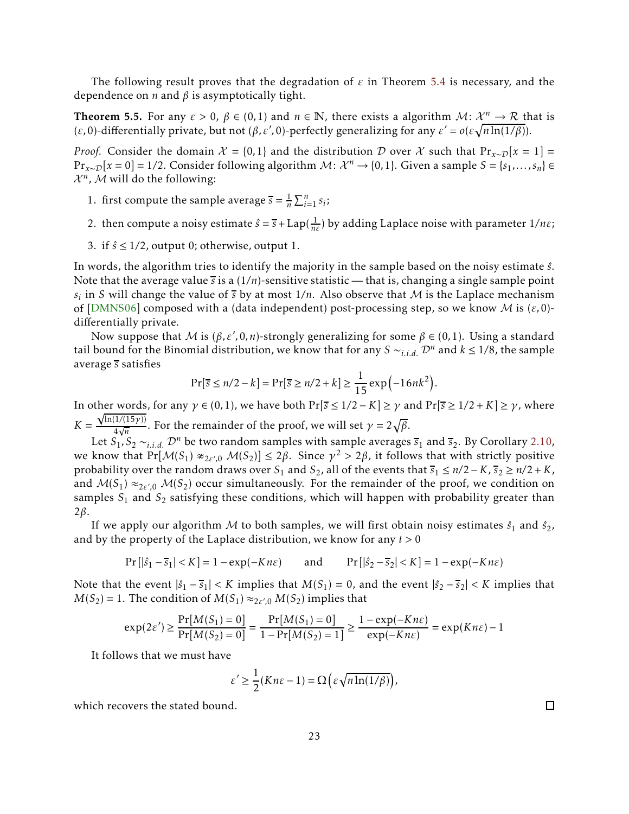The following result proves that the degradation of *ε* in Theorem [5.4](#page-20-0) is necessary, and the dependence on *n* and *β* is asymptotically tight.

<span id="page-22-0"></span>**Theorem 5.5.** For any  $\varepsilon > 0$ ,  $\beta \in (0,1)$  and  $n \in \mathbb{N}$ , there exists a algorithm  $\mathcal{M}$ :  $\mathcal{X}^n \to \mathcal{R}$  that is (*ε*, 0)-differentially private, but not (*β*, *ε'*, 0)-perfectly generalizing for any  $\varepsilon' = o(\varepsilon \sqrt{n \ln(1/\beta)})$ .

*Proof.* Consider the domain  $\mathcal{X} = \{0,1\}$  and the distribution D over X such that  $Pr_{x \sim \mathcal{D}}[x = 1]$  = *P*r<sub>*x∼D</sub>*[ $x = 0$ ] = 1/2. Consider following algorithm *M*:  $\mathcal{X}^n \to \{0, 1\}$ . Given a sample *S* = {*s*<sub>1</sub>,..., *s*<sub>*n*</sub>} ∈</sub>  $\mathcal{X}^n$ , M will do the following:

- 1. first compute the sample average  $\overline{s} = \frac{1}{n}$  $\frac{1}{n}\sum_{i=1}^{n} s_i$ ;
- 2. then compute a noisy estimate  $\hat{s} = \bar{s} + \text{Lap}(\frac{1}{n\epsilon})$  by adding Laplace noise with parameter  $1/n\epsilon$ ;
- 3. if  $\hat{s} \leq 1/2$ , output 0; otherwise, output 1.

In words, the algorithm tries to identify the majority in the sample based on the noisy estimate *s*ˆ. Note that the average value *s* is a (1*/n*)-sensitive statistic — that is, changing a single sample point  $s_i$  in *S* will change the value of  $\overline{s}$  by at most 1/n. Also observe that M is the Laplace mechanism of [\[DMNS06\]](#page-24-7) composed with a (data independent) post-processing step, so we know M is (*ε,*0) differentially private.

Now suppose that *M* is (*β,ε',* 0*,n*)-strongly generalizing for some *β* ∈ (0*,*1). Using a standard tail bound for the Binomial distribution, we know that for any *S* ∼*<sub>i.i.d.</sub>*  $\mathcal{D}^n$  and  $k \leq 1/8$ , the sample average *s* satisfies

$$
Pr[\overline{s} \le n/2 - k] = Pr[\overline{s} \ge n/2 + k] \ge \frac{1}{15} \exp(-16nk^2).
$$

In other words, for any  $\gamma \in (0,1)$ , we have both  $Pr[\overline{s} \le 1/2 - K] \ge \gamma$  and  $Pr[\overline{s} \ge 1/2 + K] \ge \gamma$ , where  $K =$ √ ln(1*/*(15*γ*))  $\frac{1}{4\sqrt{n}}$ . For the remainder of the proof, we will set  $\gamma = 2\sqrt{\beta}$ .

Let  $S_1$ ,  $S_2 \sim_{i.i.d.} \mathcal{D}^n$  be two random samples with sample averages  $\overline{s}_1$  and  $\overline{s}_2$ . By Corollary [2.10,](#page-6-1) we know that  $Pr[M(S_1) *_{2\epsilon', 0} M(S_2)] \le 2\beta$ . Since  $\gamma^2 > 2\beta$ , it follows that with strictly positive probability over the random draws over *S*<sub>1</sub> and *S*<sub>2</sub>, all of the events that  $\overline{s}_1 \le n/2 - K$ ,  $\overline{s}_2 \ge n/2 + K$ , and  $M(S_1) \approx_{2\varepsilon',0} M(S_2)$  occur simultaneously. For the remainder of the proof, we condition on samples *S*<sup>1</sup> and *S*<sup>2</sup> satisfying these conditions, which will happen with probability greater than 2*β*.

If we apply our algorithm M to both samples, we will first obtain noisy estimates  $\hat{s}_1$  and  $\hat{s}_2$ , and by the property of the Laplace distribution, we know for any *t >* 0

$$
Pr[|\hat{s}_1 - \overline{s}_1| < K] = 1 - \exp(-Kn\varepsilon) \qquad \text{and} \qquad Pr[|\hat{s}_2 - \overline{s}_2| < K] = 1 - \exp(-Kn\varepsilon)
$$

Note that the event  $|\hat{s}_1 - \overline{s}_1| < K$  implies that  $M(S_1) = 0$ , and the event  $|\hat{s}_2 - \overline{s}_2| < K$  implies that  $M(S_2) = 1$ . The condition of  $M(S_1) \approx_{2\epsilon',0} M(S_2)$  implies that

$$
\exp(2\varepsilon') \ge \frac{\Pr[M(S_1) = 0]}{\Pr[M(S_2) = 0]} = \frac{\Pr[M(S_1) = 0]}{1 - \Pr[M(S_2) = 1]} \ge \frac{1 - \exp(-Kn\varepsilon)}{\exp(-Kn\varepsilon)} = \exp(Kn\varepsilon) - 1
$$

It follows that we must have

$$
\varepsilon' \ge \frac{1}{2}(Kn\varepsilon - 1) = \Omega\left(\varepsilon\sqrt{n\ln(1/\beta)}\right),\,
$$

which recovers the stated bound.

 $\Box$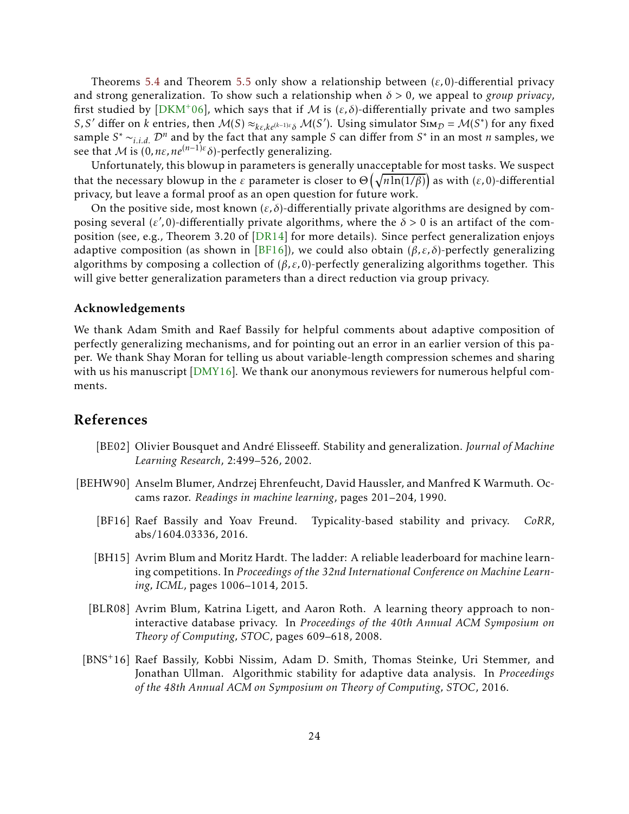Theorems [5.4](#page-20-0) and Theorem [5.5](#page-22-0) only show a relationship between (*ε,*0)-differential privacy and strong generalization. To show such a relationship when *δ >* 0, we appeal to *group privacy*, first studied by [\[DKM](#page-24-12)<sup>+</sup>06], which says that if M is  $(\varepsilon, \delta)$ -differentially private and two samples *S,S'* differ on *k* entries, then  $M(S) \approx_{k\epsilon, k\epsilon^{(k-1)\epsilon}\delta} M(S')$ . Using simulator  $\text{Sim}_{\mathcal{D}} = M(S^*)$  for any fixed sample  $S^* \sim_{i.i.d.} \mathcal{D}^n$  and by the fact that any sample *S* can differ from  $S^*$  in an most *n* samples, we see that *M* is  $(0, n\varepsilon, ne^{(n-1)\varepsilon}\delta)$ -perfectly generalizing.

Unfortunately, this blowup in parameters is generally unacceptable for most tasks. We suspect that the necessary blowup in the *ε* parameter is closer to  $\Theta\left(\sqrt{n \ln(1/\beta)}\right)$  as with (*ε*,0)-differential privacy, but leave a formal proof as an open question for future work.

On the positive side, most known  $(\varepsilon, \delta)$ -differentially private algorithms are designed by composing several ( $\varepsilon'$ ,0)-differentially private algorithms, where the  $\delta > 0$  is an artifact of the composition (see, e.g., Theorem 3.20 of [\[DR14\]](#page-24-8) for more details). Since perfect generalization enjoys adaptive composition (as shown in [\[BF16](#page-23-4)]), we could also obtain  $(\beta, \varepsilon, \delta)$ -perfectly generalizing algorithms by composing a collection of  $(\beta, \varepsilon, 0)$ -perfectly generalizing algorithms together. This will give better generalization parameters than a direct reduction via group privacy.

#### Acknowledgements

We thank Adam Smith and Raef Bassily for helpful comments about adaptive composition of perfectly generalizing mechanisms, and for pointing out an error in an earlier version of this paper. We thank Shay Moran for telling us about variable-length compression schemes and sharing with us his manuscript [\[DMY16\]](#page-24-4). We thank our anonymous reviewers for numerous helpful comments.

### References

- <span id="page-23-1"></span>[BE02] Olivier Bousquet and André Elisseeff. Stability and generalization. *Journal of Machine Learning Research*, 2:499–526, 2002.
- <span id="page-23-5"></span><span id="page-23-4"></span><span id="page-23-3"></span><span id="page-23-2"></span><span id="page-23-0"></span>[BEHW90] Anselm Blumer, Andrzej Ehrenfeucht, David Haussler, and Manfred K Warmuth. Occams razor. *Readings in machine learning*, pages 201–204, 1990.
	- [BF16] Raef Bassily and Yoav Freund. Typicality-based stability and privacy. *CoRR*, abs/1604.03336, 2016.
	- [BH15] Avrim Blum and Moritz Hardt. The ladder: A reliable leaderboard for machine learning competitions. In *Proceedings of the 32nd International Conference on Machine Learning, ICML*, pages 1006–1014, 2015.
	- [BLR08] Avrim Blum, Katrina Ligett, and Aaron Roth. A learning theory approach to noninteractive database privacy. In *Proceedings of the 40th Annual ACM Symposium on Theory of Computing, STOC*, pages 609–618, 2008.
	- [BNS+16] Raef Bassily, Kobbi Nissim, Adam D. Smith, Thomas Steinke, Uri Stemmer, and Jonathan Ullman. Algorithmic stability for adaptive data analysis. In *Proceedings of the 48th Annual ACM on Symposium on Theory of Computing, STOC*, 2016.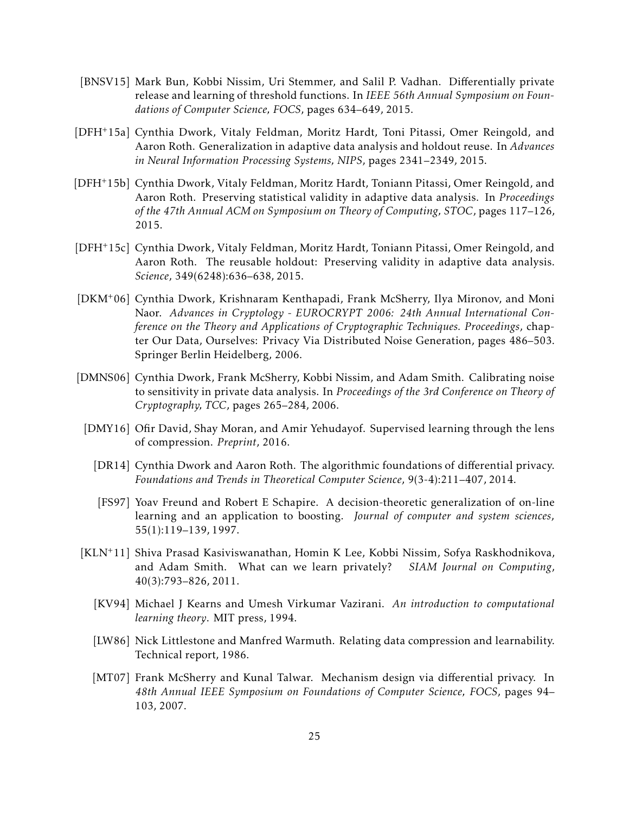- <span id="page-24-11"></span>[BNSV15] Mark Bun, Kobbi Nissim, Uri Stemmer, and Salil P. Vadhan. Differentially private release and learning of threshold functions. In *IEEE 56th Annual Symposium on Foundations of Computer Science, FOCS*, pages 634–649, 2015.
- <span id="page-24-2"></span>[DFH+15a] Cynthia Dwork, Vitaly Feldman, Moritz Hardt, Toni Pitassi, Omer Reingold, and Aaron Roth. Generalization in adaptive data analysis and holdout reuse. In *Advances in Neural Information Processing Systems, NIPS*, pages 2341–2349, 2015.
- <span id="page-24-0"></span>[DFH+15b] Cynthia Dwork, Vitaly Feldman, Moritz Hardt, Toniann Pitassi, Omer Reingold, and Aaron Roth. Preserving statistical validity in adaptive data analysis. In *Proceedings of the 47th Annual ACM on Symposium on Theory of Computing, STOC*, pages 117–126, 2015.
- <span id="page-24-1"></span>[DFH+15c] Cynthia Dwork, Vitaly Feldman, Moritz Hardt, Toniann Pitassi, Omer Reingold, and Aaron Roth. The reusable holdout: Preserving validity in adaptive data analysis. *Science*, 349(6248):636–638, 2015.
- <span id="page-24-12"></span>[DKM+06] Cynthia Dwork, Krishnaram Kenthapadi, Frank McSherry, Ilya Mironov, and Moni Naor. *Advances in Cryptology - EUROCRYPT 2006: 24th Annual International Conference on the Theory and Applications of Cryptographic Techniques. Proceedings*, chapter Our Data, Ourselves: Privacy Via Distributed Noise Generation, pages 486–503. Springer Berlin Heidelberg, 2006.
- <span id="page-24-8"></span><span id="page-24-7"></span><span id="page-24-4"></span>[DMNS06] Cynthia Dwork, Frank McSherry, Kobbi Nissim, and Adam Smith. Calibrating noise to sensitivity in private data analysis. In *Proceedings of the 3rd Conference on Theory of Cryptography, TCC*, pages 265–284, 2006.
	- [DMY16] Ofir David, Shay Moran, and Amir Yehudayof. Supervised learning through the lens of compression. *Preprint*, 2016.
		- [DR14] Cynthia Dwork and Aaron Roth. The algorithmic foundations of differential privacy. *Foundations and Trends in Theoretical Computer Science*, 9(3-4):211–407, 2014.
		- [FS97] Yoav Freund and Robert E Schapire. A decision-theoretic generalization of on-line learning and an application to boosting. *Journal of computer and system sciences*, 55(1):119–139, 1997.
- <span id="page-24-10"></span><span id="page-24-9"></span><span id="page-24-6"></span><span id="page-24-5"></span><span id="page-24-3"></span>[KLN+11] Shiva Prasad Kasiviswanathan, Homin K Lee, Kobbi Nissim, Sofya Raskhodnikova, and Adam Smith. What can we learn privately? *SIAM Journal on Computing*, 40(3):793–826, 2011.
	- [KV94] Michael J Kearns and Umesh Virkumar Vazirani. *An introduction to computational learning theory*. MIT press, 1994.
	- [LW86] Nick Littlestone and Manfred Warmuth. Relating data compression and learnability. Technical report, 1986.
	- [MT07] Frank McSherry and Kunal Talwar. Mechanism design via differential privacy. In *48th Annual IEEE Symposium on Foundations of Computer Science, FOCS*, pages 94– 103, 2007.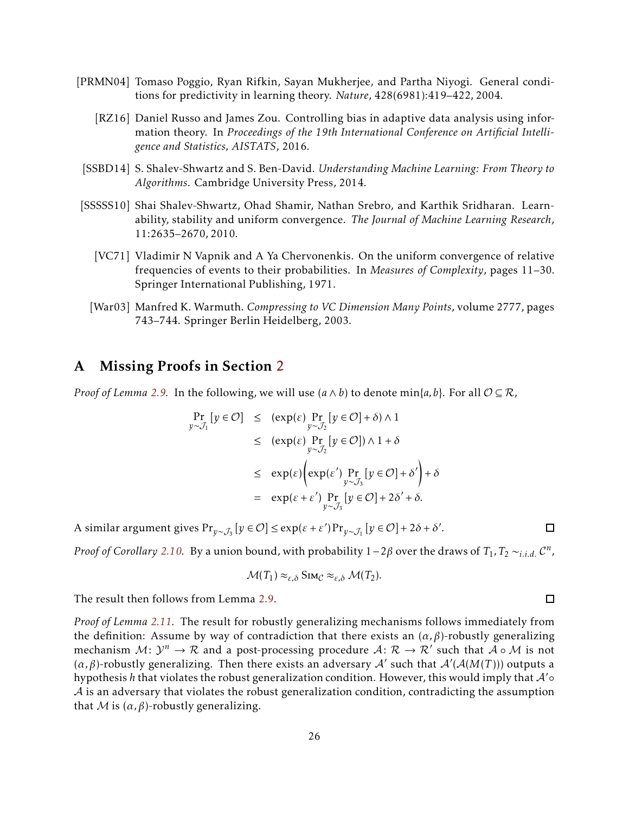- <span id="page-25-4"></span><span id="page-25-0"></span>[PRMN04] Tomaso Poggio, Ryan Rifkin, Sayan Mukherjee, and Partha Niyogi. General conditions for predictivity in learning theory. *Nature*, 428(6981):419–422, 2004.
	- [RZ16] Daniel Russo and James Zou. Controlling bias in adaptive data analysis using information theory. In *Proceedings of the 19th International Conference on Artificial Intelligence and Statistics, AISTATS*, 2016.
	- [SSBD14] S. Shalev-Shwartz and S. Ben-David. *Understanding Machine Learning: From Theory to Algorithms*. Cambridge University Press, 2014.
- <span id="page-25-5"></span><span id="page-25-2"></span><span id="page-25-1"></span>[SSSSS10] Shai Shalev-Shwartz, Ohad Shamir, Nathan Srebro, and Karthik Sridharan. Learnability, stability and uniform convergence. *The Journal of Machine Learning Research*, 11:2635–2670, 2010.
	- [VC71] Vladimir N Vapnik and A Ya Chervonenkis. On the uniform convergence of relative frequencies of events to their probabilities. In *Measures of Complexity*, pages 11–30. Springer International Publishing, 1971.
	- [War03] Manfred K. Warmuth. *Compressing to VC Dimension Many Points*, volume 2777, pages 743–744. Springer Berlin Heidelberg, 2003.

### <span id="page-25-6"></span><span id="page-25-3"></span>A Missing Proofs in Section [2](#page-3-0)

*Proof of Lemma* [2.9.](#page-6-2) In the following, we will use  $(a \land b)$  to denote min{ $a$ ,  $b$ }. For all  $\mathcal{O} \subseteq \mathcal{R}$ ,

$$
\Pr_{y \sim J_1} [y \in \mathcal{O}] \leq (\exp(\varepsilon) \Pr_{y \sim J_2} [y \in \mathcal{O}] + \delta) \wedge 1
$$
\n
$$
\leq (\exp(\varepsilon) \Pr_{y \sim J_2} [y \in \mathcal{O}] ) \wedge 1 + \delta
$$
\n
$$
\leq \exp(\varepsilon) (\exp(\varepsilon') \Pr_{y \sim J_3} [y \in \mathcal{O}] + \delta') + \delta
$$
\n
$$
= \exp(\varepsilon + \varepsilon') \Pr_{y \sim J_3} [y \in \mathcal{O}] + 2\delta' + \delta.
$$

A similar argument gives Pr<sub>*y∼J*3</sub> [*y* ∈ ∅] ≤ exp(ε + ε')Pr<sub>*y∼J*1</sub> [*y* ∈ ∅] + 2*δ* + *δ'*.

*Proof of Corollary [2.10.](#page-6-1)* By a union bound, with probability 1−2*β* over the draws of *T*<sup>1</sup> *,T*<sup>2</sup> ∼*i.i.d.* C *n* ,

$$
\mathcal{M}(T_1) \approx_{\varepsilon,\delta} \text{Sim}_{\mathcal{C}} \approx_{\varepsilon,\delta} \mathcal{M}(T_2).
$$

The result then follows from Lemma [2.9.](#page-6-2)

*Proof of Lemma [2.11.](#page-7-2)* The result for robustly generalizing mechanisms follows immediately from the definition: Assume by way of contradiction that there exists an  $(\alpha, \beta)$ -robustly generalizing mechanism  $M: \mathcal{Y}^n \to \mathcal{R}$  and a post-processing procedure  $\mathcal{A}: \mathcal{R} \to \mathcal{R}'$  such that  $\mathcal{A} \circ \mathcal{M}$  is not (*α,β*)-robustly generalizing. Then there exists an adversary A′ such that A′ (A(*M*(*T* ))) outputs a hypothesis *h* that violates the robust generalization condition. However, this would imply that A′◦  $A$  is an adversary that violates the robust generalization condition, contradicting the assumption that *M* is  $(\alpha, \beta)$ -robustly generalizing.

 $\Box$ 

 $\Box$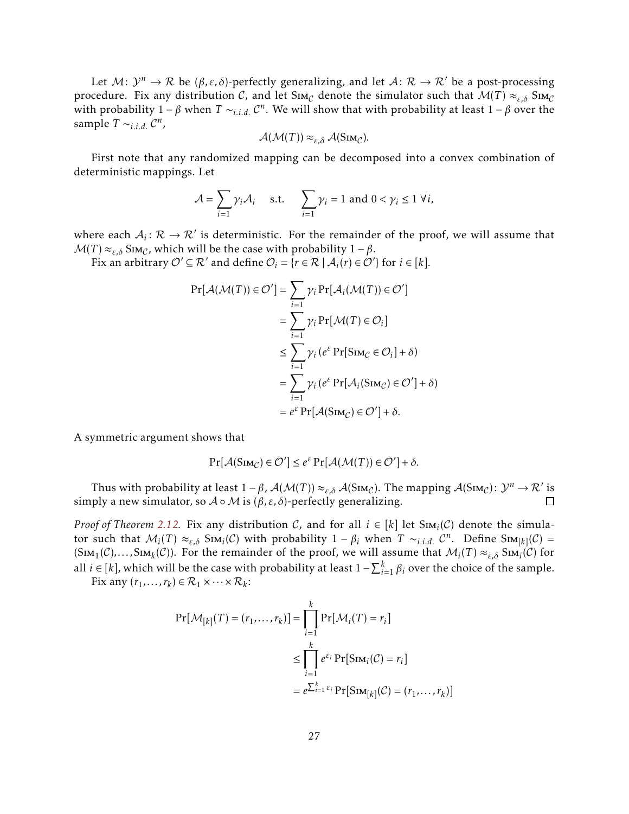Let  $M: \mathcal{Y}^n \to \mathcal{R}$  be  $(\beta, \varepsilon, \delta)$ -perfectly generalizing, and let  $\mathcal{A}: \mathcal{R} \to \mathcal{R}'$  be a post-processing procedure. Fix any distribution C, and let Sim<sub>C</sub> denote the simulator such that  $M(T) \approx_{\varepsilon,\delta} S_{IMC}$ with probability  $1 - \beta$  when  $T \sim_{i.i.d.} C^n$ . We will show that with probability at least  $1 - \beta$  over the sample  $T \sim_{i.i.d.} C^n$ ,

$$
\mathcal{A}(\mathcal{M}(T)) \approx_{\varepsilon,\delta} \mathcal{A}(\mathrm{Sim}_{\mathcal{C}}).
$$

First note that any randomized mapping can be decomposed into a convex combination of deterministic mappings. Let

$$
\mathcal{A} = \sum_{i=1} \gamma_i \mathcal{A}_i \quad \text{s.t.} \quad \sum_{i=1} \gamma_i = 1 \text{ and } 0 < \gamma_i \le 1 \ \forall i,
$$

where each  $A_i: \mathcal{R} \to \mathcal{R}'$  is deterministic. For the remainder of the proof, we will assume that  $M(T) \approx_{\varepsilon,\delta} S_{\text{IM}_C}$ , which will be the case with probability  $1 - \beta$ .

Fix an arbitrary  $\mathcal{O}' \subseteq \mathcal{R}'$  and define  $\mathcal{O}_i = \{r \in \mathcal{R} \mid \mathcal{A}_i(r) \in \mathcal{O}'\}$  for  $i \in [k]$ .

$$
Pr[\mathcal{A}(\mathcal{M}(T)) \in \mathcal{O}'] = \sum_{i=1}^{\infty} \gamma_i Pr[\mathcal{A}_i(\mathcal{M}(T)) \in \mathcal{O}']
$$
  
= 
$$
\sum_{i=1}^{\infty} \gamma_i Pr[\mathcal{M}(T) \in \mathcal{O}_i]
$$
  

$$
\leq \sum_{i=1}^{\infty} \gamma_i (e^{\varepsilon} Pr[SIm_{\mathcal{C}} \in \mathcal{O}_i] + \delta)
$$
  
= 
$$
\sum_{i=1}^{\infty} \gamma_i (e^{\varepsilon} Pr[\mathcal{A}_i(SIm_{\mathcal{C}}) \in \mathcal{O}'] + \delta)
$$
  
= 
$$
e^{\varepsilon} Pr[\mathcal{A}(SIm_{\mathcal{C}}) \in \mathcal{O}'] + \delta.
$$

A symmetric argument shows that

$$
\Pr[\mathcal{A}(\mathrm{Sim}_{\mathcal{C}}) \in \mathcal{O}'] \le e^{\varepsilon} \Pr[\mathcal{A}(\mathcal{M}(T)) \in \mathcal{O}'] + \delta.
$$

Thus with probability at least  $1 - \beta$ ,  $\mathcal{A}(\mathcal{M}(T)) \approx_{\varepsilon, \delta} \mathcal{A}(\text{Sim}_\mathcal{C})$ . The mapping  $\mathcal{A}(\text{Sim}_\mathcal{C})$ :  $\mathcal{Y}^n \to \mathcal{R}'$  is simply a new simulator, so  $A \circ M$  is  $(\beta, \varepsilon, \delta)$ -perfectly generalizing.  $\Box$ 

*Proof of Theorem [2.12.](#page-7-0)* Fix any distribution C, and for all  $i \in [k]$  let  $Sim_i(\mathcal{C})$  denote the simulator such that  $M_i(T) \approx_{\varepsilon,\delta} S_i M_i(\mathcal{C})$  with probability  $1 - \beta_i$  when  $T \sim_{i.i.d.} \mathcal{C}^n$ . Define  $S_i M_k(\mathcal{C}) =$  $(\text{Sim}_1(\mathcal{C}),..., \text{Sim}_k(\mathcal{C}))$ . For the remainder of the proof, we will assume that  $\mathcal{M}_i(T) \approx_{\varepsilon,\delta} \text{Sim}_i(\mathcal{C})$  for all *i* ∈ [*k*], which will be the case with probability at least  $1 - \sum_{i=1}^{k} \beta_i$  over the choice of the sample.

Fix any  $(r_1, ..., r_k) \in \mathcal{R}_1 \times \cdots \times \mathcal{R}_k$ :

$$
Pr[\mathcal{M}_{[k]}(T) = (r_1, ..., r_k)] = \prod_{i=1}^k Pr[\mathcal{M}_i(T) = r_i]
$$
  

$$
\leq \prod_{i=1}^k e^{\varepsilon_i} Pr[\text{Sim}_i(\mathcal{C}) = r_i]
$$
  

$$
= e^{\sum_{i=1}^k \varepsilon_i} Pr[\text{Sim}_{[k]}(\mathcal{C}) = (r_1, ..., r_k)]
$$